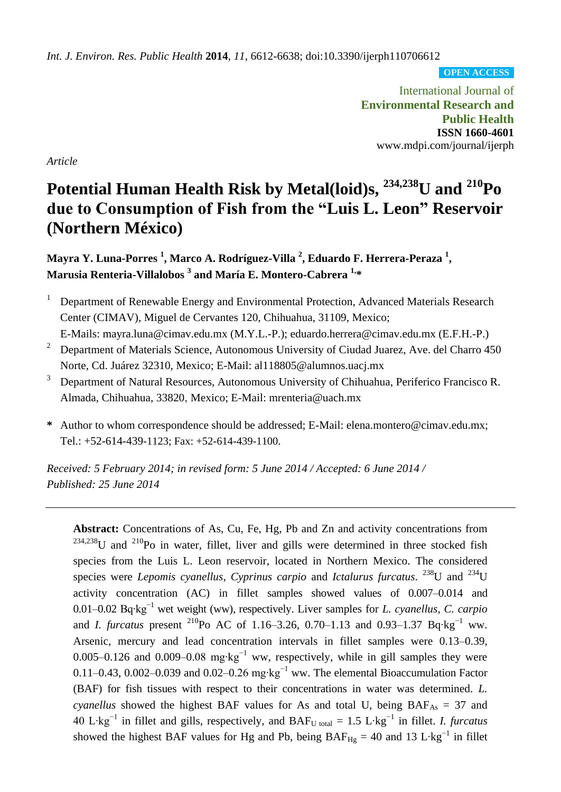*Int. J. Environ. Res. Public Health* **2014**, *11*, 6612-6638; doi:10.3390/ijerph110706612

**OPEN ACCESS**

International Journal of **Environmental Research and Public Health ISSN 1660-4601** www.mdpi.com/journal/ijerph

*Article*

# **Potential Human Health Risk by Metal(loid)s, 234,238U and <sup>210</sup>Po due to Consumption of Fish from the "Luis L. Leon" Reservoir (Northern México)**

**Mayra Y. Luna-Porres <sup>1</sup> , Marco A. Rodríguez-Villa <sup>2</sup> , Eduardo F. Herrera-Peraza <sup>1</sup> , Marusia Renteria-Villalobos <sup>3</sup> and María E. Montero-Cabrera 1,\***

- <sup>1</sup> Department of Renewable Energy and Environmental Protection, Advanced Materials Research Center (CIMAV), Miguel de Cervantes 120, Chihuahua, 31109, Mexico; E-Mails: mayra.luna@cimav.edu.mx (M.Y.L.-P.); eduardo.herrera@cimav.edu.mx (E.F.H.-P.)
- <sup>2</sup> Department of Materials Science, Autonomous University of Ciudad Juarez, Ave. del Charro  $450$ Norte, Cd. Juárez 32310, Mexico; E-Mail: al118805@alumnos.uacj.mx
- <sup>3</sup> Department of Natural Resources, Autonomous University of Chihuahua, Periferico Francisco R. Almada, Chihuahua, 33820, Mexico; E-Mail: mrenteria@uach.mx
- **\*** Author to whom correspondence should be addressed; E-Mail: elena.montero@cimav.edu.mx; Tel.: +52-614-439-1123; Fax: +52-614-439-1100.

*Received: 5 February 2014; in revised form: 5 June 2014 / Accepted: 6 June 2014 / Published: 25 June 2014*

**Abstract:** Concentrations of As, Cu, Fe, Hg, Pb and Zn and activity concentrations from  $^{234,238}$ U and  $^{210}$ Po in water, fillet, liver and gills were determined in three stocked fish species from the Luis L. Leon reservoir, located in Northern Mexico. The considered species were *Lepomis cyanellus, Cyprinus carpio* and *Ictalurus furcatus*. <sup>238</sup>U and <sup>234</sup>U activity concentration (AC) in fillet samples showed values of 0.007–0.014 and 0.01–0.02 Bq∙kg−1 wet weight (ww), respectively. Liver samples for *L. cyanellus*, *C. carpio*  and *I. furcatus* present <sup>210</sup>Po AC of 1.16–3.26, 0.70–1.13 and 0.93–1.37 Bq⋅kg<sup>-1</sup> ww. Arsenic, mercury and lead concentration intervals in fillet samples were 0.13–0.39, 0.005–0.126 and 0.009–0.08 mg⋅kg<sup>-1</sup> ww, respectively, while in gill samples they were 0.11–0.43, 0.002–0.039 and 0.02–0.26 mg⋅kg<sup>-1</sup> ww. The elemental Bioaccumulation Factor (BAF) for fish tissues with respect to their concentrations in water was determined. *L. cyanellus* showed the highest BAF values for As and total U, being  $BAF_{As} = 37$  and 40 L∙kg−1 in fillet and gills, respectively, and BAF<sup>U</sup> total = 1.5 L∙kg−1 in fillet. *I. furcatus* showed the highest BAF values for Hg and Pb, being  $BAF_{Hg} = 40$  and 13 L⋅kg<sup>-1</sup> in fillet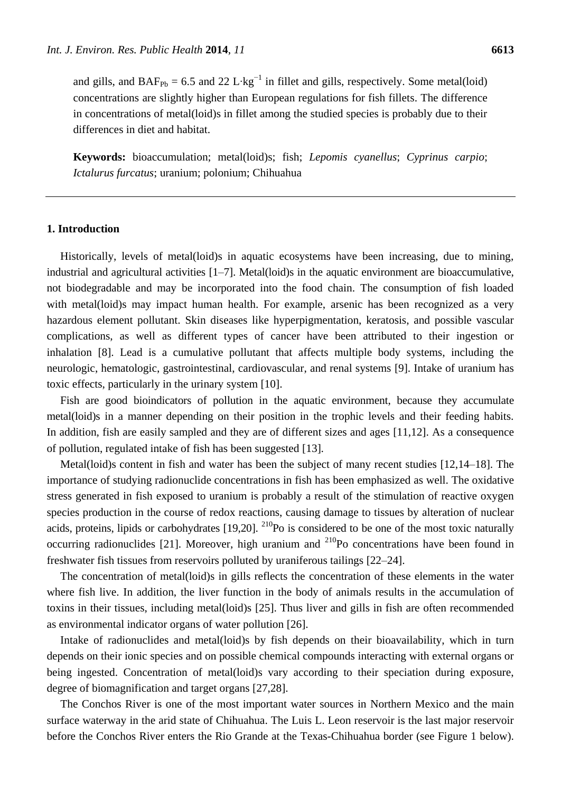and gills, and  $BAF_{Pb} = 6.5$  and 22 L⋅kg<sup>-1</sup> in fillet and gills, respectively. Some metal(loid) concentrations are slightly higher than European regulations for fish fillets. The difference in concentrations of metal(loid)s in fillet among the studied species is probably due to their differences in diet and habitat.

**Keywords:** bioaccumulation; metal(loid)s; fish; *Lepomis cyanellus*; *Cyprinus carpio*; *Ictalurus furcatus*; uranium; polonium; Chihuahua

# **1. Introduction**

Historically, levels of metal(loid)s in aquatic ecosystems have been increasing, due to mining, industrial and agricultural activities [1–7]. Metal(loid)s in the aquatic environment are bioaccumulative, not biodegradable and may be incorporated into the food chain. The consumption of fish loaded with metal(loid)s may impact human health. For example, arsenic has been recognized as a very hazardous element pollutant. Skin diseases like hyperpigmentation, keratosis, and possible vascular complications, as well as different types of cancer have been attributed to their ingestion or inhalation [8]. Lead is a cumulative pollutant that affects multiple body systems, including the neurologic, hematologic, gastrointestinal, cardiovascular, and renal systems [9]. Intake of uranium has toxic effects, particularly in the urinary system [10].

Fish are good bioindicators of pollution in the aquatic environment, because they accumulate metal(loid)s in a manner depending on their position in the trophic levels and their feeding habits. In addition, fish are easily sampled and they are of different sizes and ages [11,12]. As a consequence of pollution, regulated intake of fish has been suggested [13].

Metal(loid)s content in fish and water has been the subject of many recent studies [12,14–18]. The importance of studying radionuclide concentrations in fish has been emphasized as well. The oxidative stress generated in fish exposed to uranium is probably a result of the stimulation of reactive oxygen species production in the course of redox reactions, causing damage to tissues by alteration of nuclear acids, proteins, lipids or carbohydrates [19,20]. <sup>210</sup>Po is considered to be one of the most toxic naturally occurring radionuclides [21]. Moreover, high uranium and  $^{210}$ Po concentrations have been found in freshwater fish tissues from reservoirs polluted by uraniferous tailings [22–24].

The concentration of metal(loid)s in gills reflects the concentration of these elements in the water where fish live. In addition, the liver function in the body of animals results in the accumulation of toxins in their tissues, including metal(loid)s [25]. Thus liver and gills in fish are often recommended as environmental indicator organs of water pollution [26].

Intake of radionuclides and metal(loid)s by fish depends on their bioavailability, which in turn depends on their ionic species and on possible chemical compounds interacting with external organs or being ingested. Concentration of metal(loid)s vary according to their speciation during exposure, degree of biomagnification and target organs [27,28].

The Conchos River is one of the most important water sources in Northern Mexico and the main surface waterway in the arid state of Chihuahua. The Luis L. Leon reservoir is the last major reservoir before the Conchos River enters the Rio Grande at the Texas-Chihuahua border (see Figure 1 below).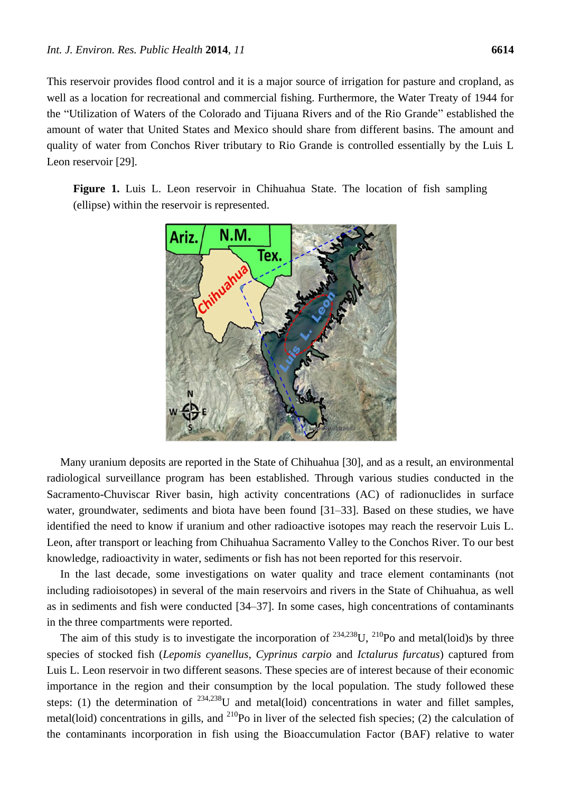This reservoir provides flood control and it is a major source of irrigation for pasture and cropland, as well as a location for recreational and commercial fishing. Furthermore, the Water Treaty of 1944 for the "Utilization of Waters of the Colorado and Tijuana Rivers and of the Rio Grande" established the amount of water that United States and Mexico should share from different basins. The amount and quality of water from Conchos River tributary to Rio Grande is controlled essentially by the Luis L Leon reservoir [29].

**Figure 1.** Luis L. Leon reservoir in Chihuahua State. The location of fish sampling (ellipse) within the reservoir is represented.



Many uranium deposits are reported in the State of Chihuahua [30], and as a result, an environmental radiological surveillance program has been established. Through various studies conducted in the Sacramento-Chuviscar River basin, high activity concentrations (AC) of radionuclides in surface water, groundwater, sediments and biota have been found [31–33]. Based on these studies, we have identified the need to know if uranium and other radioactive isotopes may reach the reservoir Luis L. Leon, after transport or leaching from Chihuahua Sacramento Valley to the Conchos River. To our best knowledge, radioactivity in water, sediments or fish has not been reported for this reservoir.

In the last decade, some investigations on water quality and trace element contaminants (not including radioisotopes) in several of the main reservoirs and rivers in the State of Chihuahua, as well as in sediments and fish were conducted [34–37]. In some cases, high concentrations of contaminants in the three compartments were reported.

The aim of this study is to investigate the incorporation of  $^{234,238}$ U,  $^{210}$ Po and metal(loid)s by three species of stocked fish (*Lepomis cyanellus*, *Cyprinus carpio* and *Ictalurus furcatus*) captured from Luis L. Leon reservoir in two different seasons. These species are of interest because of their economic importance in the region and their consumption by the local population. The study followed these steps: (1) the determination of  $^{234,238}$ U and metal(loid) concentrations in water and fillet samples, metal(loid) concentrations in gills, and  $^{210}$ Po in liver of the selected fish species; (2) the calculation of the contaminants incorporation in fish using the Bioaccumulation Factor (BAF) relative to water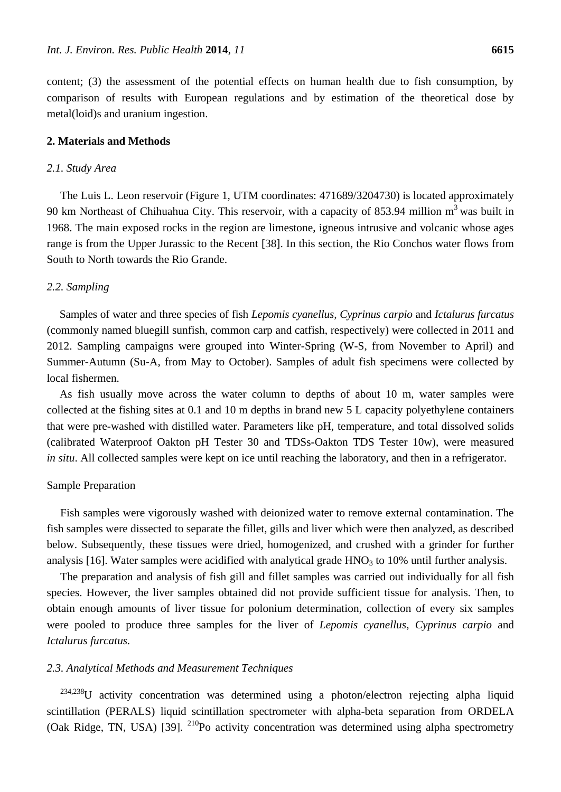content; (3) the assessment of the potential effects on human health due to fish consumption, by comparison of results with European regulations and by estimation of the theoretical dose by metal(loid)s and uranium ingestion.

# **2. Materials and Methods**

#### *2.1. Study Area*

The Luis L. Leon reservoir (Figure 1, UTM coordinates: 471689/3204730) is located approximately 90 km Northeast of Chihuahua City. This reservoir, with a capacity of 853.94 million  $m<sup>3</sup>$  was built in 1968. The main exposed rocks in the region are limestone, igneous intrusive and volcanic whose ages range is from the Upper Jurassic to the Recent [38]. In this section, the Rio Conchos water flows from South to North towards the Rio Grande.

#### *2.2. Sampling*

Samples of water and three species of fish *Lepomis cyanellus, Cyprinus carpio* and *Ictalurus furcatus* (commonly named bluegill sunfish, common carp and catfish, respectively) were collected in 2011 and 2012. Sampling campaigns were grouped into Winter-Spring (W-S, from November to April) and Summer-Autumn (Su-A, from May to October). Samples of adult fish specimens were collected by local fishermen.

As fish usually move across the water column to depths of about 10 m, water samples were collected at the fishing sites at 0.1 and 10 m depths in brand new 5 L capacity polyethylene containers that were pre-washed with distilled water. Parameters like pH, temperature, and total dissolved solids (calibrated Waterproof Oakton pH Tester 30 and TDSs-Oakton TDS Tester 10w), were measured *in situ*. All collected samples were kept on ice until reaching the laboratory, and then in a refrigerator.

#### Sample Preparation

Fish samples were vigorously washed with deionized water to remove external contamination. The fish samples were dissected to separate the fillet, gills and liver which were then analyzed, as described below. Subsequently, these tissues were dried, homogenized, and crushed with a grinder for further analysis [16]. Water samples were acidified with analytical grade  $HNO<sub>3</sub>$  to 10% until further analysis.

The preparation and analysis of fish gill and fillet samples was carried out individually for all fish species. However, the liver samples obtained did not provide sufficient tissue for analysis. Then, to obtain enough amounts of liver tissue for polonium determination, collection of every six samples were pooled to produce three samples for the liver of *Lepomis cyanellus, Cyprinus carpio* and *Ictalurus furcatus.*

#### *2.3. Analytical Methods and Measurement Techniques*

<sup>234,238</sup>U activity concentration was determined using a photon/electron rejecting alpha liquid scintillation (PERALS) liquid scintillation spectrometer with alpha-beta separation from ORDELA (Oak Ridge, TN, USA) [39]. <sup>210</sup>Po activity concentration was determined using alpha spectrometry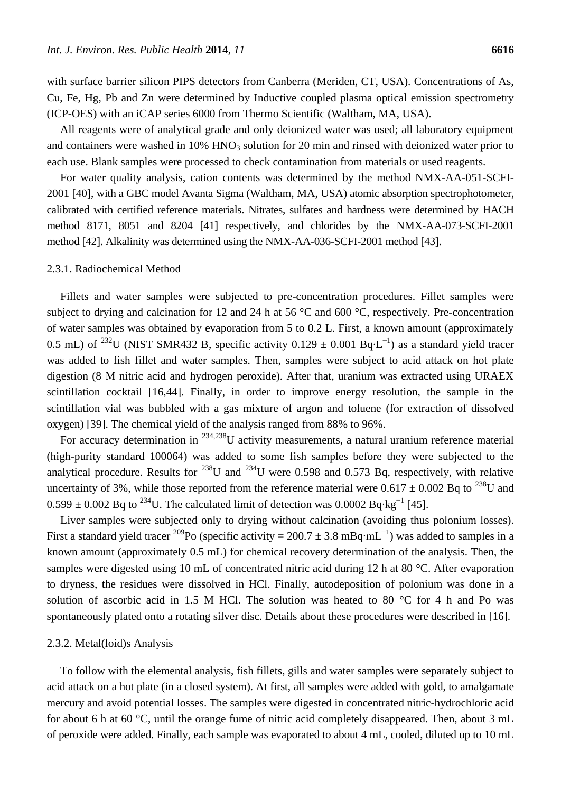with surface barrier silicon PIPS detectors from Canberra (Meriden, CT, USA). Concentrations of As, Cu, Fe, Hg, Pb and Zn were determined by Inductive coupled plasma optical emission spectrometry (ICP-OES) with an iCAP series 6000 from Thermo Scientific (Waltham, MA, USA).

All reagents were of analytical grade and only deionized water was used; all laboratory equipment and containers were washed in 10% HNO<sub>3</sub> solution for 20 min and rinsed with deionized water prior to each use. Blank samples were processed to check contamination from materials or used reagents.

For water quality analysis, cation contents was determined by the method NMX-AA-051-SCFI-2001 [40], with a GBC model Avanta Sigma (Waltham, MA, USA) atomic absorption spectrophotometer, calibrated with certified reference materials. Nitrates, sulfates and hardness were determined by HACH method 8171, 8051 and 8204 [41] respectively, and chlorides by the NMX-AA-073-SCFI-2001 method [42]. Alkalinity was determined using the NMX-AA-036-SCFI-2001 method [43].

## 2.3.1. Radiochemical Method

Fillets and water samples were subjected to pre-concentration procedures. Fillet samples were subject to drying and calcination for 12 and 24 h at 56  $\degree$ C and 600  $\degree$ C, respectively. Pre-concentration of water samples was obtained by evaporation from 5 to 0.2 L. First, a known amount (approximately 0.5 mL) of <sup>232</sup>U (NIST SMR432 B, specific activity 0.129  $\pm$  0.001 Bq⋅L<sup>-1</sup>)</sup> as a standard yield tracer was added to fish fillet and water samples. Then, samples were subject to acid attack on hot plate digestion (8 M nitric acid and hydrogen peroxide). After that, uranium was extracted using URAEX scintillation cocktail [16,44]. Finally, in order to improve energy resolution, the sample in the scintillation vial was bubbled with a gas mixture of argon and toluene (for extraction of dissolved oxygen) [39]. The chemical yield of the analysis ranged from 88% to 96%.

For accuracy determination in  $^{234,238}$ U activity measurements, a natural uranium reference material (high-purity standard 100064) was added to some fish samples before they were subjected to the analytical procedure. Results for <sup>238</sup>U and <sup>234</sup>U were 0.598 and 0.573 Bq, respectively, with relative uncertainty of 3%, while those reported from the reference material were 0.617  $\pm$ 0.002 Bq to <sup>238</sup>U and 0.599 ± 0.002 Bq to <sup>234</sup>U. The calculated limit of detection was 0.0002 Bq⋅kg<sup>-1</sup> [45].

Liver samples were subjected only to drying without calcination (avoiding thus polonium losses). First a standard yield tracer <sup>209</sup>Po (specific activity = 200.7  $\pm$  3.8 mBq⋅mL<sup>-1</sup>) was added to samples in a known amount (approximately 0.5 mL) for chemical recovery determination of the analysis. Then, the samples were digested using 10 mL of concentrated nitric acid during 12 h at 80 °C. After evaporation to dryness, the residues were dissolved in HCl. Finally, autodeposition of polonium was done in a solution of ascorbic acid in 1.5 M HCl. The solution was heated to 80  $\degree$ C for 4 h and Po was spontaneously plated onto a rotating silver disc. Details about these procedures were described in [16].

#### 2.3.2. Metal(loid)s Analysis

To follow with the elemental analysis, fish fillets, gills and water samples were separately subject to acid attack on a hot plate (in a closed system). At first, all samples were added with gold, to amalgamate mercury and avoid potential losses. The samples were digested in concentrated nitric-hydrochloric acid for about 6 h at 60 °C, until the orange fume of nitric acid completely disappeared. Then, about  $3 \text{ mL}$ of peroxide were added. Finally, each sample was evaporated to about 4 mL, cooled, diluted up to 10 mL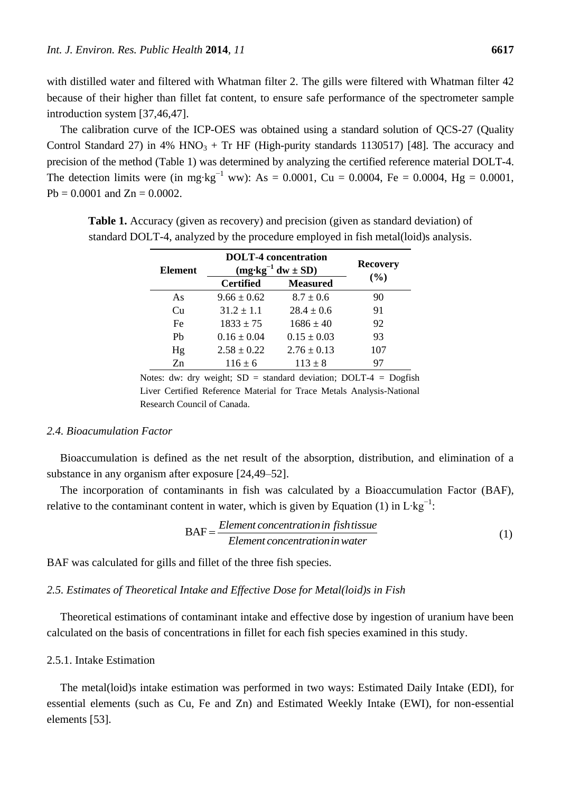with distilled water and filtered with Whatman filter 2. The gills were filtered with Whatman filter 42 because of their higher than fillet fat content, to ensure safe performance of the spectrometer sample introduction system [37,46,47].

The calibration curve of the ICP-OES was obtained using a standard solution of QCS-27 (Quality Control Standard 27) in 4%  $HNO<sub>3</sub> + Tr HF$  (High-purity standards 1130517) [48]. The accuracy and precision of the method (Table 1) was determined by analyzing the certified reference material DOLT-4. The detection limits were (in mg⋅kg<sup>-1</sup> ww): As = 0.0001, Cu = 0.0004, Fe = 0.0004, Hg = 0.0001,  $Pb = 0.0001$  and  $Zn = 0.0002$ .

| <b>Element</b> |                  | <b>DOLT-4</b> concentration<br>$(mg \cdot kg^{-1} dw \pm SD)$ | <b>Recovery</b> |
|----------------|------------------|---------------------------------------------------------------|-----------------|
|                | <b>Certified</b> | <b>Measured</b>                                               | (%)             |
| As             | $9.66 \pm 0.62$  | $8.7 \pm 0.6$                                                 | 90              |
| Cu             | $31.2 \pm 1.1$   | $28.4 \pm 0.6$                                                | 91              |
| Fe             | $1833 \pm 75$    | $1686 \pm 40$                                                 | 92              |
| Ph             | $0.16 \pm 0.04$  | $0.15 \pm 0.03$                                               | 93              |
| Hg             | $2.58 \pm 0.22$  | $2.76 \pm 0.13$                                               | 107             |
| $Z_{n}$        | $116 \pm 6$      | $113 + 8$                                                     | 97              |

**Table 1.** Accuracy (given as recovery) and precision (given as standard deviation) of standard DOLT-4, analyzed by the procedure employed in fish metal(loid)s analysis.

Notes: dw: dry weight; SD = standard deviation; DOLT-4 *=* Dogfish Liver Certified Reference Material for Trace Metals Analysis-National Research Council of Canada.

# *2.4. Bioacumulation Factor*

Bioaccumulation is defined as the net result of the absorption, distribution, and elimination of a substance in any organism after exposure [24,49–52].

The incorporation of contaminants in fish was calculated by a Bioaccumulation Factor (BAF), relative to the contaminant content in water, which is given by Equation (1) in L⋅kg<sup>-1</sup>:<br> $BAF = \frac{Element\ concentration\ in\ f ishtissue}{F}$ 

$$
BAF = \frac{Element\ concentration\ in\ f ishtissue}{Element\ concentration\ in\ water}
$$
 (1)

BAF was calculated for gills and fillet of the three fish species.

#### *2.5. Estimates of Theoretical Intake and Effective Dose for Metal(loid)s in Fish*

Theoretical estimations of contaminant intake and effective dose by ingestion of uranium have been calculated on the basis of concentrations in fillet for each fish species examined in this study.

# 2.5.1. Intake Estimation

The metal(loid)s intake estimation was performed in two ways: Estimated Daily Intake (EDI), for essential elements (such as Cu, Fe and Zn) and Estimated Weekly Intake (EWI), for non-essential elements [53].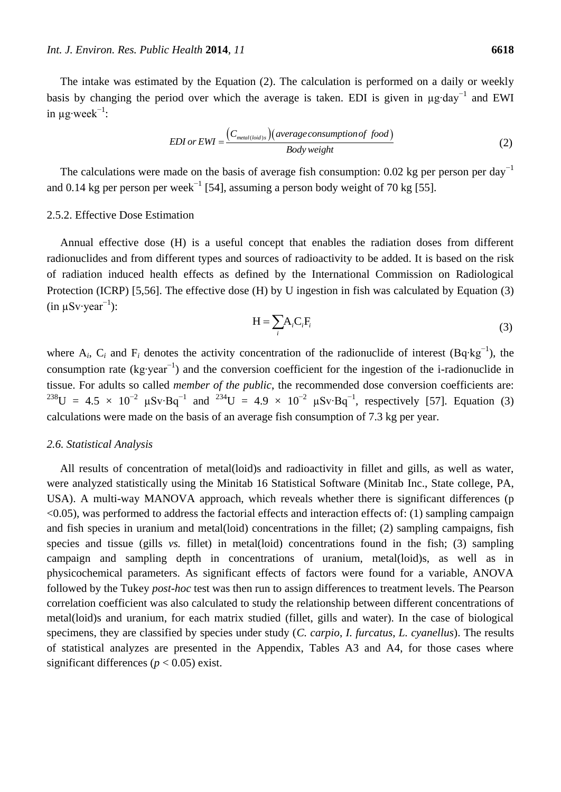The intake was estimated by the Equation (2). The calculation is performed on a daily or weekly basis by changing the period over which the average is taken. EDI is given in μg∙day<sup>-1</sup> and EWI in µg∙week−1 :

$$
EDI \ or \ EWI = \frac{\left(C_{metal (loid)s}\right)\left(average \ consumption \ of \ food\right)}{Body \ weight}
$$
\n(2)

The calculations were made on the basis of average fish consumption: 0.02 kg per person per day<sup>-1</sup> and 0.14 kg per person per week<sup>-1</sup> [54], assuming a person body weight of 70 kg [55].

# 2.5.2. Effective Dose Estimation

Annual effective dose (H) is a useful concept that enables the radiation doses from different radionuclides and from different types and sources of radioactivity to be added. It is based on the risk of radiation induced health effects as defined by the International Commission on Radiological Protection (ICRP) [5,56]. The effective dose (H) by U ingestion in fish was calculated by Equation (3) (in  $\mu$ Sv∙year<sup>-1</sup>):

$$
H = \sum_{i} A_{i} C_{i} F_{i}
$$
 (3)

where  $A_i$ ,  $C_i$  and  $F_i$  denotes the activity concentration of the radionuclide of interest (Bq⋅kg<sup>-1</sup>), the consumption rate (kg⋅year<sup>-1</sup>) and the conversion coefficient for the ingestion of the i-radionuclide in tissue. For adults so called *member of the public*, the recommended dose conversion coefficients are: <sup>238</sup>U = 4.5 × 10<sup>-2</sup> μSv⋅Bq<sup>-1</sup> and <sup>234</sup>U = 4.9 × 10<sup>-2</sup> μSv⋅Bq<sup>-1</sup>, respectively [57]. Equation (3) calculations were made on the basis of an average fish consumption of 7.3 kg per year.

#### *2.6. Statistical Analysis*

All results of concentration of metal(loid)s and radioactivity in fillet and gills, as well as water, were analyzed statistically using the Minitab 16 Statistical Software (Minitab Inc., State college, PA, USA). A multi-way MANOVA approach, which reveals whether there is significant differences (p <0.05), was performed to address the factorial effects and interaction effects of: (1) sampling campaign and fish species in uranium and metal(loid) concentrations in the fillet; (2) sampling campaigns, fish species and tissue (gills *vs.* fillet) in metal(loid) concentrations found in the fish; (3) sampling campaign and sampling depth in concentrations of uranium, metal(loid)s, as well as in physicochemical parameters. As significant effects of factors were found for a variable, ANOVA followed by the Tukey *post-hoc* test was then run to assign differences to treatment levels. The Pearson correlation coefficient was also calculated to study the relationship between different concentrations of metal(loid)s and uranium, for each matrix studied (fillet, gills and water). In the case of biological specimens, they are classified by species under study (*C. carpio*, *I. furcatus*, *L. cyanellus*). The results of statistical analyzes are presented in the Appendix, Tables A3 and A4, for those cases where significant differences ( $p < 0.05$ ) exist.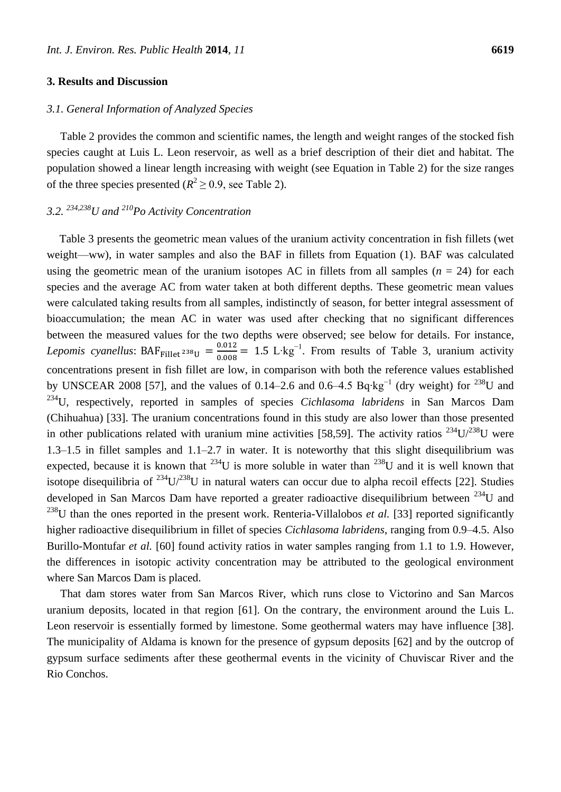### **3. Results and Discussion**

### *3.1. General Information of Analyzed Species*

Table 2 provides the common and scientific names, the length and weight ranges of the stocked fish species caught at Luis L. Leon reservoir, as well as a brief description of their diet and habitat. The population showed a linear length increasing with weight (see Equation in Table 2) for the size ranges of the three species presented ( $R^2 \ge 0.9$ , see Table 2).

# *3.2. 234,238U and <sup>210</sup>Po Activity Concentration*

Table 3 presents the geometric mean values of the uranium activity concentration in fish fillets (wet weight—ww), in water samples and also the BAF in fillets from Equation (1). BAF was calculated using the geometric mean of the uranium isotopes AC in fillets from all samples  $(n = 24)$  for each species and the average AC from water taken at both different depths. These geometric mean values were calculated taking results from all samples, indistinctly of season, for better integral assessment of bioaccumulation; the mean AC in water was used after checking that no significant differences between the measured values for the two depths were observed; see below for details. For instance, *Lepomis cyanellus*:  $BAF_{\text{Fillet}}^{238}U = \frac{0}{2}$  $\frac{0.012}{0.008}$  = 1.5 L⋅kg<sup>-1</sup>. From results of Table 3, uranium activity concentrations present in fish fillet are low, in comparison with both the reference values established by UNSCEAR 2008 [57], and the values of 0.14–2.6 and 0.6–4.5 Bq⋅kg<sup>-1</sup> (dry weight) for <sup>238</sup>U and <sup>234</sup>U, respectively, reported in samples of species *Cichlasoma labridens* in San Marcos Dam (Chihuahua) [33]. The uranium concentrations found in this study are also lower than those presented in other publications related with uranium mine activities [58,59]. The activity ratios  $^{234}U/^{238}U$  were 1.3–1.5 in fillet samples and 1.1–2.7 in water. It is noteworthy that this slight disequilibrium was expected, because it is known that  $^{234}$ U is more soluble in water than  $^{238}$ U and it is well known that isotope disequilibria of  $^{234}U^{238}U$  in natural waters can occur due to alpha recoil effects [22]. Studies developed in San Marcos Dam have reported a greater radioactive disequilibrium between  $^{234}$ U and <sup>238</sup>U than the ones reported in the present work. Renteria-Villalobos *et al.* [33] reported significantly higher radioactive disequilibrium in fillet of species *Cichlasoma labridens*, ranging from 0.9–4.5. Also Burillo-Montufar *et al.* [60] found activity ratios in water samples ranging from 1.1 to 1.9. However, the differences in isotopic activity concentration may be attributed to the geological environment where San Marcos Dam is placed.

That dam stores water from San Marcos River, which runs close to Victorino and San Marcos uranium deposits, located in that region [61]. On the contrary, the environment around the Luis L. Leon reservoir is essentially formed by limestone. Some geothermal waters may have influence [38]. The municipality of Aldama is known for the presence of gypsum deposits [62] and by the outcrop of gypsum surface sediments after these geothermal events in the vicinity of Chuviscar River and the Rio Conchos.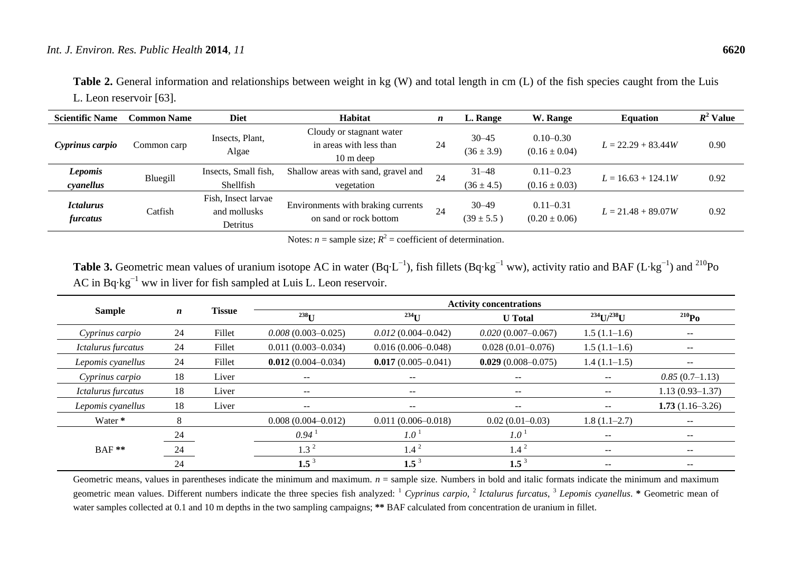| Table 2. General information and relationships between weight in kg (W) and total length in cm (L) of the fish species caught from the Luis |  |  |
|---------------------------------------------------------------------------------------------------------------------------------------------|--|--|
| L. Leon reservoir [63].                                                                                                                     |  |  |

| <b>Scientific Name</b>                     | <b>Common Name</b> | <b>Diet</b>                                     | Habitat                                                                    |    | L. Range                    | W. Range                           | <b>Equation</b>      | $R^2$ Value |
|--------------------------------------------|--------------------|-------------------------------------------------|----------------------------------------------------------------------------|----|-----------------------------|------------------------------------|----------------------|-------------|
| Cyprinus carpio                            | Common carp        | Insects, Plant,<br>Algae                        | Cloudy or stagnant water<br>in areas with less than<br>$10 \text{ m}$ deep |    | $30 - 45$<br>$(36 \pm 3.9)$ | $0.10 - 0.30$<br>$(0.16 \pm 0.04)$ | $L = 22.29 + 83.44W$ | 0.90        |
| <b>Lepomis</b><br>cyanellus                | Bluegill           | Insects, Small fish,<br>Shellfish               | Shallow areas with sand, gravel and<br>vegetation                          | 24 | $31 - 48$<br>$(36 \pm 4.5)$ | $0.11 - 0.23$<br>$(0.16 \pm 0.03)$ | $L = 16.63 + 124.1W$ | 0.92        |
| <i><b>Ictalurus</b></i><br><i>furcatus</i> | Catfish            | Fish, Insect larvae<br>and mollusks<br>Detritus | Environments with braking currents<br>on sand or rock bottom               | 24 | $30 - 49$<br>$(39 \pm 5.5)$ | $0.11 - 0.31$<br>$(0.20 \pm 0.06)$ | $L = 21.48 + 89.07W$ | 0.92        |

Notes:  $n =$  sample size;  $R^2 =$  coefficient of determination.

Table 3. Geometric mean values of uranium isotope AC in water (Bq⋅L<sup>-1</sup>), fish fillets (Bq⋅kg<sup>-1</sup> ww), activity ratio and BAF (L⋅kg<sup>-1</sup>) and <sup>210</sup>Po AC in Bq∙kg−1 ww in liver for fish sampled at Luis L. Leon reservoir.

|                    |                  |               | <b>Activity concentrations</b> |                        |                        |                          |                     |  |  |
|--------------------|------------------|---------------|--------------------------------|------------------------|------------------------|--------------------------|---------------------|--|--|
| <b>Sample</b>      | $\boldsymbol{n}$ | <b>Tissue</b> | $^{238}$ U                     | $^{234}$ U             | <b>U</b> Total         | $^{234}$ U/ $^{238}$ U   | $^{210}Po$          |  |  |
| Cyprinus carpio    | 24               | Fillet        | $0.008(0.003 - 0.025)$         | $0.012(0.004 - 0.042)$ | $0.020(0.007 - 0.067)$ | $1.5(1.1-1.6)$           | $- -$               |  |  |
| Ictalurus furcatus | 24               | Fillet        | $0.011(0.003 - 0.034)$         | $0.016(0.006 - 0.048)$ | $0.028(0.01 - 0.076)$  | $1.5(1.1-1.6)$           | $- -$               |  |  |
| Lepomis cyanellus  | 24               | Fillet        | $0.012(0.004 - 0.034)$         | $0.017(0.005 - 0.041)$ | $0.029(0.008 - 0.075)$ | $1.4(1.1-1.5)$           | $- -$               |  |  |
| Cyprinus carpio    | 18               | Liver         | --                             | $- -$                  | $- -$                  | $\qquad \qquad -$        | $0.85(0.7-1.13)$    |  |  |
| Ictalurus furcatus | 18               | Liver         | --                             | $- -$                  | $- -$                  | $\qquad \qquad -$        | $1.13(0.93 - 1.37)$ |  |  |
| Lepomis cyanellus  | 18               | Liver         | --                             | $- -$                  | $- -$                  | $\qquad \qquad -$        | $1.73(1.16-3.26)$   |  |  |
| Water*             | 8                |               | $0.008(0.004 - 0.012)$         | $0.011(0.006 - 0.018)$ | $0.02(0.01-0.03)$      | $1.8(1.1-2.7)$           | $- -$               |  |  |
|                    | 24               |               | $0.94^{\mathrm{T}}$            | 1.0 <sup>1</sup>       | 1.0 <sup>1</sup>       | $\qquad \qquad -$        | $\qquad \qquad -$   |  |  |
| $BAF$ **           |                  |               | $1.3^{2}$                      | $1.4^2$                | $1.4^{2}$              | $\overline{\phantom{m}}$ | $--$                |  |  |
|                    | 24               |               | $1.5^3$                        | $1.5^3$                | $1.5^3$                | $\overline{\phantom{m}}$ | $- -$               |  |  |

Geometric means, values in parentheses indicate the minimum and maximum. *n* = sample size. Numbers in bold and italic formats indicate the minimum and maximum geometric mean values. Different numbers indicate the three species fish analyzed: <sup>1</sup> *Cyprinus carpio*, 2 *Ictalurus furcatus*, 3 *Lepomis cyanellus*. **\*** Geometric mean of water samples collected at 0.1 and 10 m depths in the two sampling campaigns; **\*\*** BAF calculated from concentration de uranium in fillet.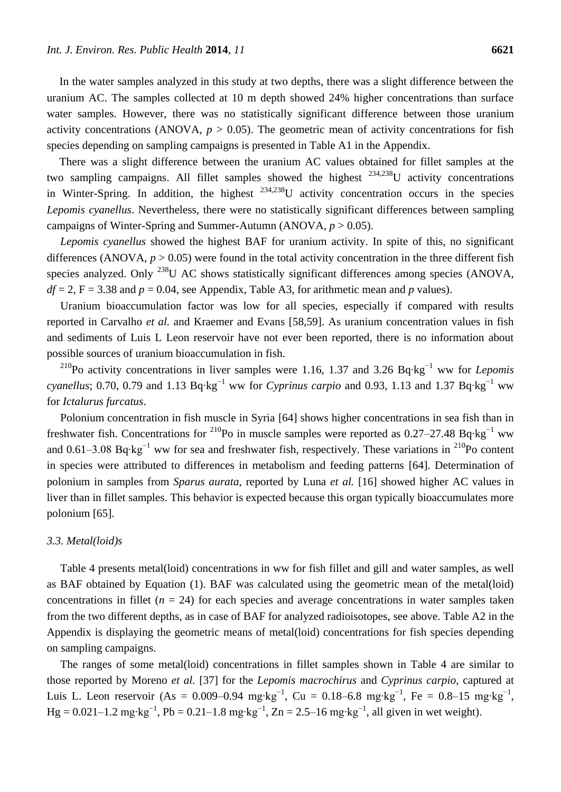In the water samples analyzed in this study at two depths, there was a slight difference between the uranium AC. The samples collected at 10 m depth showed 24% higher concentrations than surface water samples. However, there was no statistically significant difference between those uranium activity concentrations (ANOVA,  $p > 0.05$ ). The geometric mean of activity concentrations for fish species depending on sampling campaigns is presented in Table A1 in the Appendix.

There was a slight difference between the uranium AC values obtained for fillet samples at the two sampling campaigns. All fillet samples showed the highest  $^{234,238}$ U activity concentrations in Winter-Spring. In addition, the highest  $^{234,238}$ U activity concentration occurs in the species *Lepomis cyanellus*. Nevertheless, there were no statistically significant differences between sampling campaigns of Winter-Spring and Summer-Autumn (ANOVA,  $p > 0.05$ ).

*Lepomis cyanellus* showed the highest BAF for uranium activity. In spite of this, no significant differences (ANOVA,  $p > 0.05$ ) were found in the total activity concentration in the three different fish species analyzed. Only  $^{238}$ U AC shows statistically significant differences among species (ANOVA,  $df = 2$ ,  $F = 3.38$  and  $p = 0.04$ , see Appendix, Table A3, for arithmetic mean and *p* values).

Uranium bioaccumulation factor was low for all species, especially if compared with results reported in Carvalho *et al.* and Kraemer and Evans [58,59]. As uranium concentration values in fish and sediments of Luis L Leon reservoir have not ever been reported, there is no information about possible sources of uranium bioaccumulation in fish.

<sup>210</sup>Po activity concentrations in liver samples were 1.16, 1.37 and 3.26 Bq⋅kg<sup>-1</sup> ww for *Lepomis cyanellus*; 0.70, 0.79 and 1.13 Bq⋅kg<sup>-1</sup> ww for *Cyprinus carpio* and 0.93, 1.13 and 1.37 Bq⋅kg<sup>-1</sup> ww for *Ictalurus furcatus*.

Polonium concentration in fish muscle in Syria [64] shows higher concentrations in sea fish than in freshwater fish. Concentrations for <sup>210</sup>Po in muscle samples were reported as 0.27–27.48 Bq⋅kg<sup>-1</sup> ww and 0.61–3.08 Bq⋅kg<sup>-1</sup> ww for sea and freshwater fish, respectively. These variations in <sup>210</sup>Po content in species were attributed to differences in metabolism and feeding patterns [64]. Determination of polonium in samples from *Sparus aurata,* reported by Luna *et al.* [16] showed higher AC values in liver than in fillet samples. This behavior is expected because this organ typically bioaccumulates more polonium [65].

#### *3.3. Metal(loid)s*

Table 4 presents metal(loid) concentrations in ww for fish fillet and gill and water samples, as well as BAF obtained by Equation (1). BAF was calculated using the geometric mean of the metal(loid) concentrations in fillet  $(n = 24)$  for each species and average concentrations in water samples taken from the two different depths, as in case of BAF for analyzed radioisotopes, see above. Table A2 in the Appendix is displaying the geometric means of metal(loid) concentrations for fish species depending on sampling campaigns.

The ranges of some metal(loid) concentrations in fillet samples shown in Table 4 are similar to those reported by Moreno *et al.* [37] for the *Lepomis macrochirus* and *Cyprinus carpio*, captured at Luis L. Leon reservoir (As = 0.009–0.94 mg⋅kg<sup>-1</sup>, Cu = 0.18–6.8 mg⋅kg<sup>-1</sup>, Fe = 0.8–15 mg⋅kg<sup>-1</sup>, Hg = 0.021–1.2 mg⋅kg<sup>-1</sup>, Pb = 0.21–1.8 mg⋅kg<sup>-1</sup>, Zn = 2.5–16 mg⋅kg<sup>-1</sup>, all given in wet weight).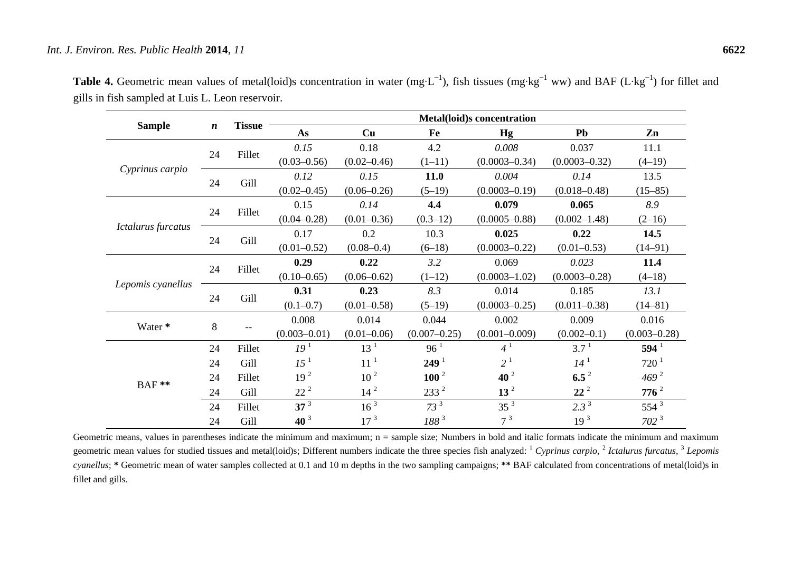|                    |                  |               | <b>Metal(loid)s concentration</b> |                 |                  |                   |                   |                  |           |                   |
|--------------------|------------------|---------------|-----------------------------------|-----------------|------------------|-------------------|-------------------|------------------|-----------|-------------------|
| <b>Sample</b>      | $\boldsymbol{n}$ | <b>Tissue</b> | As                                | Cu              | Fe               | Hg                | <b>Pb</b>         | Zn               |           |                   |
|                    | 24               | Fillet        | 0.15                              | 0.18            | 4.2              | 0.008             | 0.037             | 11.1             |           |                   |
|                    |                  |               | $(0.03 - 0.56)$                   | $(0.02 - 0.46)$ | $(1-11)$         | $(0.0003 - 0.34)$ | $(0.0003 - 0.32)$ | $(4-19)$         |           |                   |
| Cyprinus carpio    |                  |               | 0.12                              | 0.15            | <b>11.0</b>      | 0.004             | 0.14              | 13.5             |           |                   |
|                    | 24               | Gill          | $(0.02 - 0.45)$                   | $(0.06 - 0.26)$ | $(5-19)$         | $(0.0003 - 0.19)$ | $(0.018 - 0.48)$  | $(15 - 85)$      |           |                   |
|                    |                  |               | 0.15                              | 0.14            | 4.4              | 0.079             | 0.065             | 8.9              |           |                   |
|                    | 24               | Fillet        | $(0.04 - 0.28)$                   | $(0.01 - 0.36)$ | $(0.3-12)$       | $(0.0005 - 0.88)$ | $(0.002 - 1.48)$  | $(2-16)$         |           |                   |
| Ictalurus furcatus | 24               |               |                                   |                 | 0.17             | 0.2               | 10.3              | 0.025            | 0.22      | 14.5              |
|                    |                  |               |                                   |                 |                  | Gill              | $(0.01 - 0.52)$   | $(0.08 - 0.4)$   | $(6-18)$  | $(0.0003 - 0.22)$ |
|                    | 24<br>24         |               | 0.29                              | 0.22            | 3.2              | 0.069             | 0.023             | 11.4             |           |                   |
|                    |                  | Fillet        | $(0.10 - 0.65)$                   | $(0.06 - 0.62)$ | $(1-12)$         | $(0.0003 - 1.02)$ | $(0.0003 - 0.28)$ | $(4-18)$         |           |                   |
| Lepomis cyanellus  |                  |               | 0.31                              | 0.23            | 8.3              | 0.014             | 0.185             | 13.1             |           |                   |
|                    |                  |               | Gill                              | $(0.1 - 0.7)$   | $(0.01 - 0.58)$  | $(5-19)$          | $(0.0003 - 0.25)$ | $(0.011 - 0.38)$ | $(14-81)$ |                   |
|                    |                  |               | 0.008                             | 0.014           | 0.044            | 0.002             | 0.009             | 0.016            |           |                   |
| Water*             | 8                |               | $(0.003 - 0.01)$                  | $(0.01 - 0.06)$ | $(0.007 - 0.25)$ | $(0.001 - 0.009)$ | $(0.002 - 0.1)$   | $(0.003 - 0.28)$ |           |                   |
|                    | 24               | Fillet        | 19 <sup>1</sup>                   | 13 <sup>1</sup> | 96 <sup>1</sup>  | $4^{\frac{1}{2}}$ | 3.7 <sup>1</sup>  | $594^1$          |           |                   |
|                    | 24               | Gill          | 15 <sup>1</sup>                   | 11 <sup>1</sup> | 249 <sup>1</sup> | 2 <sup>1</sup>    | 14 <sup>1</sup>   | 720 <sup>1</sup> |           |                   |
|                    | 24               | Fillet        | 19 <sup>2</sup>                   | 10 <sup>2</sup> | $100^2$          | $40^2$            | $6.5^2$           | $469^2$          |           |                   |
| BAF**              | 24               | Gill          | $22^2$                            | 14 <sup>2</sup> | 233 <sup>2</sup> | 13 <sup>2</sup>   | $22^2$            | $776^2$          |           |                   |
|                    | 24               | Fillet        | 37 <sup>3</sup>                   | 16 <sup>3</sup> | 73 <sup>3</sup>  | 35 <sup>3</sup>   | $2.3^3$           | $554^3$          |           |                   |
|                    | 24               | Gill          | $40^3$                            | 17 <sup>3</sup> | 188 <sup>3</sup> | 7 <sup>3</sup>    | 19 <sup>3</sup>   | $702^3$          |           |                   |

Table 4. Geometric mean values of metal(loid)s concentration in water (mg⋅L<sup>-1</sup>), fish tissues (mg⋅kg<sup>-1</sup> ww) and BAF (L⋅kg<sup>-1</sup>) for fillet and gills in fish sampled at Luis L. Leon reservoir.

Geometric means, values in parentheses indicate the minimum and maximum; n = sample size; Numbers in bold and italic formats indicate the minimum and maximum geometric mean values for studied tissues and metal(loid)s; Different numbers indicate the three species fish analyzed: <sup>1</sup> *Cyprinus carpio*, 2 *Ictalurus furcatus,* <sup>3</sup> *Lepomis cyanellus*; **\*** Geometric mean of water samples collected at 0.1 and 10 m depths in the two sampling campaigns; **\*\*** BAF calculated from concentrations of metal(loid)s in fillet and gills.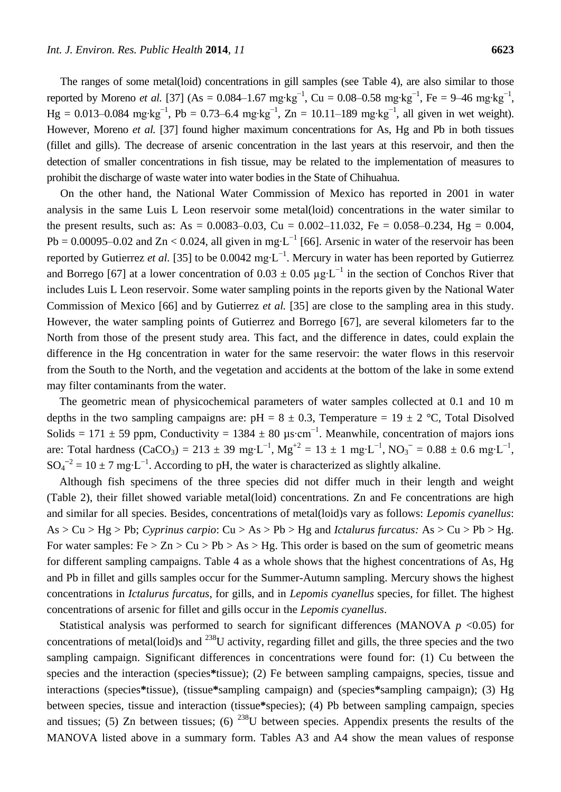The ranges of some metal(loid) concentrations in gill samples (see Table 4), are also similar to those reported by Moreno *et al.* [37] (As = 0.084–1.67 mg⋅kg<sup>-1</sup>, Cu = 0.08–0.58 mg⋅kg<sup>-1</sup>, Fe = 9–46 mg⋅kg<sup>-1</sup>, Hg = 0.013–0.084 mg⋅kg<sup>-1</sup>, Pb = 0.73–6.4 mg⋅kg<sup>-1</sup>, Zn = 10.11–189 mg⋅kg<sup>-1</sup>, all given in wet weight). However, Moreno *et al.* [37] found higher maximum concentrations for As, Hg and Pb in both tissues (fillet and gills). The decrease of arsenic concentration in the last years at this reservoir, and then the detection of smaller concentrations in fish tissue, may be related to the implementation of measures to prohibit the discharge of waste water into water bodies in the State of Chihuahua.

On the other hand, the National Water Commission of Mexico has reported in 2001 in water analysis in the same Luis L Leon reservoir some metal(loid) concentrations in the water similar to the present results, such as: As =  $0.0083-0.03$ , Cu =  $0.002-11.032$ , Fe =  $0.058-0.234$ , Hg =  $0.004$ , Pb = 0.00095–0.02 and Zn < 0.024, all given in mg⋅L<sup>-1</sup> [66]. Arsenic in water of the reservoir has been reported by Gutierrez *et al.* [35] to be 0.0042 mg⋅L<sup>-1</sup>. Mercury in water has been reported by Gutierrez and Borrego [67] at a lower concentration of 0.03  $\pm$  0.05 µg⋅L<sup>-1</sup> in the section of Conchos River that includes Luis L Leon reservoir. Some water sampling points in the reports given by the National Water Commission of Mexico [66] and by Gutierrez *et al.* [35] are close to the sampling area in this study. However, the water sampling points of Gutierrez and Borrego [67], are several kilometers far to the North from those of the present study area. This fact, and the difference in dates, could explain the difference in the Hg concentration in water for the same reservoir: the water flows in this reservoir from the South to the North, and the vegetation and accidents at the bottom of the lake in some extend may filter contaminants from the water.

The geometric mean of physicochemical parameters of water samples collected at 0.1 and 10 m depths in the two sampling campaigns are:  $pH = 8 \pm 0.3$ , Temperature = 19  $\pm 2$  °C, Total Disolved Solids = 171 ± 59 ppm, Conductivity = 1384 ± 80 µs⋅cm<sup>-1</sup>. Meanwhile, concentration of majors ions are: Total hardness (CaCO<sub>3</sub>) = 213 ± 39 mg⋅L<sup>-1</sup>, Mg<sup>+2</sup> = 13 ± 1 mg⋅L<sup>-1</sup>, NO<sub>3</sub><sup>-</sup> = 0.88 ± 0.6 mg⋅L<sup>-1</sup>,  $SO_4^{-2} = 10 \pm 7$  mg⋅L<sup>-1</sup>. According to pH, the water is characterized as slightly alkaline.

Although fish specimens of the three species did not differ much in their length and weight (Table 2), their fillet showed variable metal(loid) concentrations. Zn and Fe concentrations are high and similar for all species. Besides, concentrations of metal(loid)s vary as follows: *Lepomis cyanellus*: As > Cu > Hg > Pb; *Cyprinus carpio*: Cu > As > Pb > Hg and *Ictalurus furcatus:* As > Cu > Pb > Hg. For water samples:  $Fe > Zn > Cu > Pb > As > Hg$ . This order is based on the sum of geometric means for different sampling campaigns. Table 4 as a whole shows that the highest concentrations of As, Hg and Pb in fillet and gills samples occur for the Summer-Autumn sampling. Mercury shows the highest concentrations in *Ictalurus furcatus*, for gills, and in *Lepomis cyanellus* species, for fillet. The highest concentrations of arsenic for fillet and gills occur in the *Lepomis cyanellus*.

Statistical analysis was performed to search for significant differences (MANOVA  $p \le 0.05$ ) for concentrations of metal(loid)s and <sup>238</sup>U activity, regarding fillet and gills, the three species and the two sampling campaign. Significant differences in concentrations were found for: (1) Cu between the species and the interaction (species**\***tissue); (2) Fe between sampling campaigns, species, tissue and interactions (species**\***tissue), (tissue**\***sampling campaign) and (species**\***sampling campaign); (3) Hg between species, tissue and interaction (tissue**\***species); (4) Pb between sampling campaign, species and tissues; (5) Zn between tissues; (6)  $^{238}$ U between species. Appendix presents the results of the MANOVA listed above in a summary form. Tables A3 and A4 show the mean values of response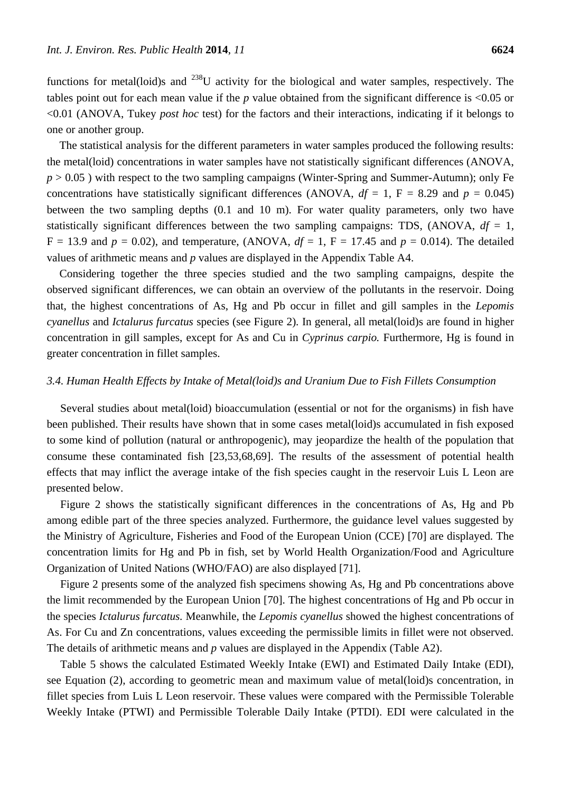functions for metal(loid)s and  $^{238}$ U activity for the biological and water samples, respectively. The tables point out for each mean value if the *p* value obtained from the significant difference is <0.05 or <0.01 (ANOVA, Tukey *post hoc* test) for the factors and their interactions, indicating if it belongs to one or another group.

The statistical analysis for the different parameters in water samples produced the following results: the metal(loid) concentrations in water samples have not statistically significant differences (ANOVA,  $p > 0.05$ ) with respect to the two sampling campaigns (Winter-Spring and Summer-Autumn); only Fe concentrations have statistically significant differences (ANOVA,  $df = 1$ ,  $F = 8.29$  and  $p = 0.045$ ) between the two sampling depths (0.1 and 10 m). For water quality parameters, only two have statistically significant differences between the two sampling campaigns: TDS, (ANOVA,  $df = 1$ ,  $F = 13.9$  and  $p = 0.02$ ), and temperature, (ANOVA,  $df = 1$ ,  $F = 17.45$  and  $p = 0.014$ ). The detailed values of arithmetic means and *p* values are displayed in the Appendix Table A4.

Considering together the three species studied and the two sampling campaigns, despite the observed significant differences, we can obtain an overview of the pollutants in the reservoir. Doing that, the highest concentrations of As, Hg and Pb occur in fillet and gill samples in the *Lepomis cyanellus* and *Ictalurus furcatus* species (see Figure 2)*.* In general, all metal(loid)s are found in higher concentration in gill samples, except for As and Cu in *Cyprinus carpio.* Furthermore, Hg is found in greater concentration in fillet samples.

# *3.4. Human Health Effects by Intake of Metal(loid)s and Uranium Due to Fish Fillets Consumption*

Several studies about metal(loid) bioaccumulation (essential or not for the organisms) in fish have been published. Their results have shown that in some cases metal(loid)s accumulated in fish exposed to some kind of pollution (natural or anthropogenic), may jeopardize the health of the population that consume these contaminated fish [23,53,68,69]. The results of the assessment of potential health effects that may inflict the average intake of the fish species caught in the reservoir Luis L Leon are presented below.

Figure 2 shows the statistically significant differences in the concentrations of As, Hg and Pb among edible part of the three species analyzed. Furthermore, the guidance level values suggested by the Ministry of Agriculture, Fisheries and Food of the European Union (CCE) [70] are displayed. The concentration limits for Hg and Pb in fish, set by World Health Organization/Food and Agriculture Organization of United Nations (WHO/FAO) are also displayed [71].

Figure 2 presents some of the analyzed fish specimens showing As, Hg and Pb concentrations above the limit recommended by the European Union [70]. The highest concentrations of Hg and Pb occur in the species *Ictalurus furcatus.* Meanwhile, the *Lepomis cyanellus* showed the highest concentrations of As. For Cu and Zn concentrations, values exceeding the permissible limits in fillet were not observed. The details of arithmetic means and *p* values are displayed in the Appendix (Table A2).

Table 5 shows the calculated Estimated Weekly Intake (EWI) and Estimated Daily Intake (EDI), see Equation (2), according to geometric mean and maximum value of metal(loid)s concentration, in fillet species from Luis L Leon reservoir. These values were compared with the Permissible Tolerable Weekly Intake (PTWI) and Permissible Tolerable Daily Intake (PTDI). EDI were calculated in the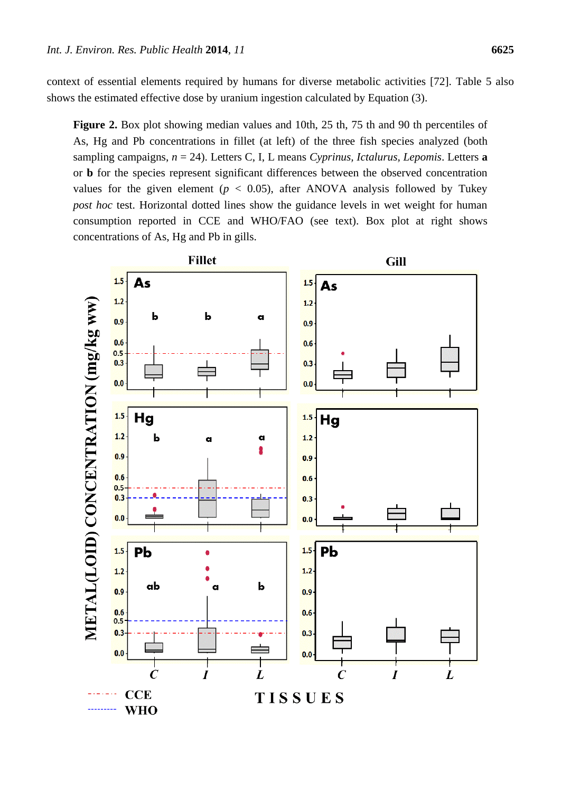context of essential elements required by humans for diverse metabolic activities [72]. Table 5 also shows the estimated effective dose by uranium ingestion calculated by Equation (3).

**Figure 2.** Box plot showing median values and 10th, 25 th, 75 th and 90 th percentiles of As, Hg and Pb concentrations in fillet (at left) of the three fish species analyzed (both sampling campaigns, *n* = 24). Letters C, I, L means *Cyprinus, Ictalurus, Lepomis*. Letters **a** or **b** for the species represent significant differences between the observed concentration values for the given element ( $p < 0.05$ ), after ANOVA analysis followed by Tukey *post hoc* test. Horizontal dotted lines show the guidance levels in wet weight for human consumption reported in CCE and WHO/FAO (see text). Box plot at right shows concentrations of As, Hg and Pb in gills.

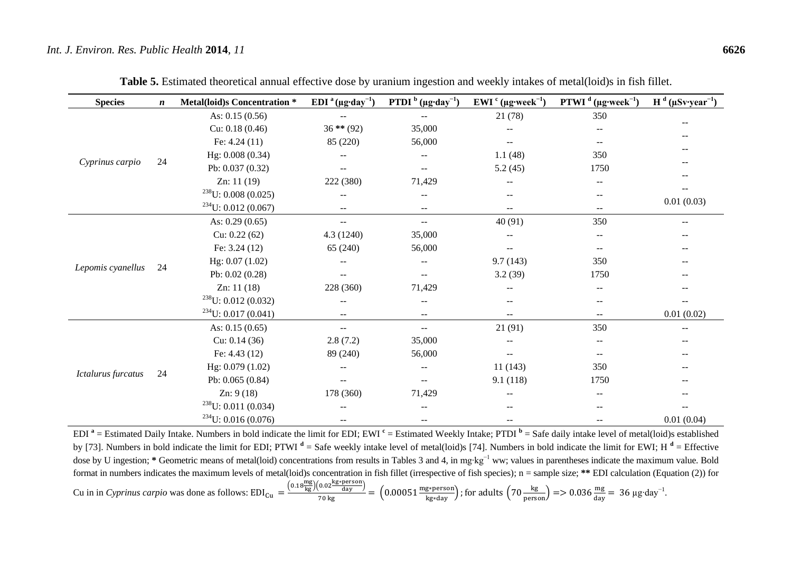| <b>Species</b>     | $\boldsymbol{n}$ | <b>Metal(loid)s Concentration *</b> | EDI <sup>a</sup> ( $\mu$ g·day <sup>-1</sup> ) | PTDI $b$ (µg·day <sup>-1</sup> )              | EWI $c$ (µg·week <sup>-1</sup> ) | <b>PTWI</b> <sup>d</sup> ( $\mu$ g·week <sup>-1</sup> ) | $H^d$ (µSv·year <sup>-1</sup> ) |     |                          |       |       |            |
|--------------------|------------------|-------------------------------------|------------------------------------------------|-----------------------------------------------|----------------------------------|---------------------------------------------------------|---------------------------------|-----|--------------------------|-------|-------|------------|
|                    |                  | As: $0.15(0.56)$                    |                                                |                                               | 21 (78)                          | 350                                                     |                                 |     |                          |       |       |            |
|                    |                  | Cu: $0.18(0.46)$                    | $36$ ** $(92)$                                 | 35,000                                        |                                  | $\overline{\phantom{m}}$                                |                                 |     |                          |       |       |            |
|                    |                  | Fe: $4.24(11)$                      | 85 (220)                                       | 56,000                                        |                                  | $-$                                                     |                                 |     |                          |       |       |            |
|                    | 24               | Hg: 0.008 (0.34)                    |                                                | $-\,-$                                        | 1.1(48)                          | 350                                                     |                                 |     |                          |       |       |            |
| Cyprinus carpio    |                  | Pb: 0.037 (0.32)                    |                                                | $\overline{\phantom{m}}$                      | 5.2(45)                          | 1750                                                    |                                 |     |                          |       |       |            |
|                    |                  | Zn: 11 (19)                         | 222 (380)                                      | 71,429                                        |                                  | $- -$                                                   |                                 |     |                          |       |       |            |
|                    |                  | $^{238}$ U: 0.008 (0.025)           |                                                |                                               |                                  | $- -$                                                   |                                 |     |                          |       |       |            |
|                    |                  | $^{234}$ U: 0.012 (0.067)           |                                                | $\mathbf{u}$                                  |                                  |                                                         | 0.01(0.03)                      |     |                          |       |       |            |
|                    |                  | As: $0.29(0.65)$                    |                                                | $\overline{\phantom{m}}$                      | 40(91)                           | 350                                                     |                                 |     |                          |       |       |            |
|                    |                  |                                     | Cu: $0.22(62)$                                 | 4.3 (1240)                                    | 35,000                           |                                                         | $- -$                           |     |                          |       |       |            |
|                    |                  | Fe: $3.24(12)$                      | 65 (240)                                       | 56,000                                        |                                  | $\overline{\phantom{m}}$                                |                                 |     |                          |       |       |            |
|                    |                  | Hg: 0.07 (1.02)                     |                                                | $\mathord{\hspace{1pt}\text{--}\hspace{1pt}}$ | 9.7(143)                         | 350                                                     |                                 |     |                          |       |       |            |
| Lepomis cyanellus  | 24               | Pb: $0.02(0.28)$                    |                                                | $\overline{\phantom{m}}$                      | 3.2(39)                          | 1750                                                    |                                 |     |                          |       |       |            |
|                    |                  | Zn: 11(18)                          | 228 (360)                                      | 71,429                                        |                                  | $-\,-$                                                  |                                 |     |                          |       |       |            |
|                    |                  | $^{238}$ U: 0.012 (0.032)           | $\overline{\phantom{m}}$                       | $\mathord{\hspace{1pt}\text{--}\hspace{1pt}}$ |                                  | $-$                                                     |                                 |     |                          |       |       |            |
|                    |                  | $234$ U: 0.017 (0.041)              |                                                | $\overline{\phantom{m}}$                      | $\overline{\phantom{m}}$         | $\overline{\phantom{m}}$                                | 0.01(0.02)                      |     |                          |       |       |            |
|                    |                  | As: $0.15(0.65)$                    | $- -$                                          | $-$                                           | 21 (91)                          | 350                                                     |                                 |     |                          |       |       |            |
|                    |                  | Cu: 0.14 (36)                       | 2.8(7.2)                                       | 35,000                                        |                                  | $- -$                                                   |                                 |     |                          |       |       |            |
|                    |                  | Fe: $4.43(12)$                      | 89 (240)                                       | 56,000                                        |                                  | $\overline{\phantom{m}}$                                |                                 |     |                          |       |       |            |
|                    |                  | Hg: 0.079 (1.02)                    |                                                | $\mathord{\hspace{1pt}\text{--}\hspace{1pt}}$ | 11(143)                          | 350                                                     |                                 |     |                          |       |       |            |
| Ictalurus furcatus | 24               | Pb: 0.065 (0.84)                    | $- -$                                          | $\overline{\phantom{m}}$                      | 9.1(118)                         | 1750                                                    |                                 |     |                          |       |       |            |
|                    |                  | Zn: 9(18)                           | 178 (360)                                      | 71,429                                        |                                  | $\overline{\phantom{m}}$                                |                                 |     |                          |       |       |            |
|                    |                  | $238$ U: 0.011 (0.034)              |                                                | $\overline{\phantom{m}}$                      |                                  | $- -$                                                   |                                 |     |                          |       |       |            |
|                    |                  |                                     |                                                |                                               |                                  |                                                         | $^{234}$ U: 0.016 (0.076)       | $-$ | $\overline{\phantom{m}}$ | $- -$ | $- -$ | 0.01(0.04) |

**Table 5.** Estimated theoretical annual effective dose by uranium ingestion and weekly intakes of metal(loid)s in fish fillet.

EDI **<sup>a</sup>** = Estimated Daily Intake. Numbers in bold indicate the limit for EDI; EWI **<sup>c</sup>** = Estimated Weekly Intake; PTDI **<sup>b</sup>** = Safe daily intake level of metal(loid)s established by [73]. Numbers in bold indicate the limit for EDI; PTWI<sup>d</sup> = Safe weekly intake level of metal(loid)s [74]. Numbers in bold indicate the limit for EWI; H<sup>d</sup> = Effective dose by U ingestion; \* Geometric means of metal(loid) concentrations from results in Tables 3 and 4, in mg⋅kg<sup>-1</sup> ww; values in parentheses indicate the maximum value. Bold format in numbers indicates the maximum levels of metal(loid)s concentration in fish fillet (irrespective of fish species); n = sample size; **\*\*** EDI calculation (Equation (2)) for Cu in in *Cyprinus carpio* was done as follows:  $EDI_{Cu} = \frac{(0.18 \frac{\text{m}}{\text{kg}})(0.02 \frac{\text{m}}{\text{g}})^2}{50 \text{ kg}}$  $\frac{1}{20 \text{ kg}}$  day  $\frac{1}{2} = (0.00051 \frac{\text{mg} * \text{person}}{\text{kg} * \text{day}})$ ; for adults  $(70 \frac{\text{kg}}{\text{person}})$  => 0.036  $\frac{\text{mg}}{\text{day}}$  = 36 µg·day<sup>-1</sup>.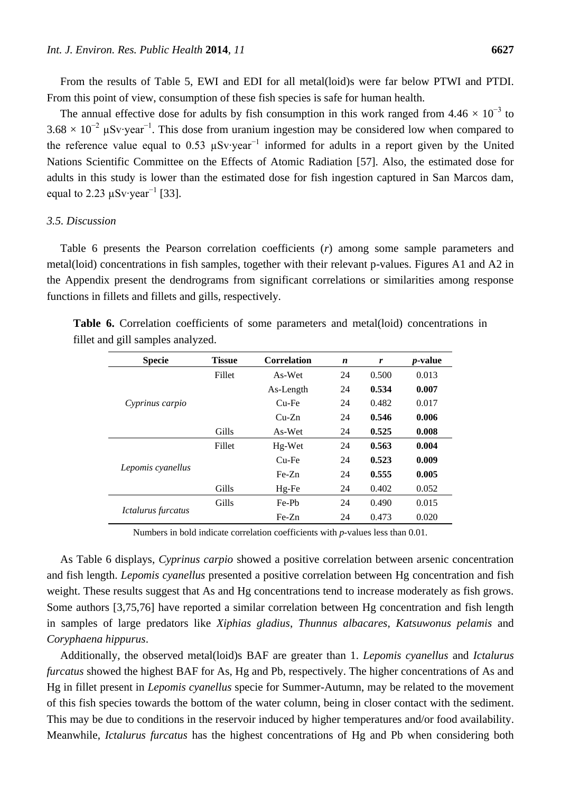From the results of Table 5, EWI and EDI for all metal(loid)s were far below PTWI and PTDI. From this point of view, consumption of these fish species is safe for human health.

The annual effective dose for adults by fish consumption in this work ranged from  $4.46 \times 10^{-3}$  to  $3.68 \times 10^{-2}$  uSv∙year<sup>-1</sup>. This dose from uranium ingestion may be considered low when compared to the reference value equal to 0.53  $\mu$ Sv⋅year<sup>-1</sup> informed for adults in a report given by the United Nations Scientific Committee on the Effects of Atomic Radiation [57]. Also, the estimated dose for adults in this study is lower than the estimated dose for fish ingestion captured in San Marcos dam, equal to 2.23  $\mu$ Sv⋅vear<sup>-1</sup> [33].

# *3.5. Discussion*

Table 6 presents the Pearson correlation coefficients (*r*) among some sample parameters and metal(loid) concentrations in fish samples, together with their relevant p-values. Figures A1 and A2 in the Appendix present the dendrograms from significant correlations or similarities among response functions in fillets and fillets and gills, respectively.

| <b>Specie</b>      | <b>Tissue</b><br><b>Correlation</b> |           |    |       | <i>p</i> -value |
|--------------------|-------------------------------------|-----------|----|-------|-----------------|
|                    | Fillet                              | As-Wet    | 24 | 0.500 | 0.013           |
|                    |                                     | As-Length | 24 | 0.534 | 0.007           |
| Cyprinus carpio    |                                     | Cu-Fe     | 24 | 0.482 | 0.017           |
|                    |                                     | $Cu-Zn$   | 24 | 0.546 | 0.006           |
|                    | Gills                               | As-Wet    | 24 | 0.525 | 0.008           |
|                    | Fillet                              | Hg-Wet    | 24 | 0.563 | 0.004           |
|                    |                                     | $Cu-Fe$   | 24 | 0.523 | 0.009           |
| Lepomis cyanellus  |                                     | $Fe-Zn$   | 24 | 0.555 | 0.005           |
|                    | Gills                               | $Hg-Fe$   | 24 | 0.402 | 0.052           |
|                    | Gills                               | Fe-Ph     | 24 | 0.490 | 0.015           |
| Ictalurus furcatus |                                     | $Fe-Zn$   | 24 | 0.473 | 0.020           |

**Table 6.** Correlation coefficients of some parameters and metal(loid) concentrations in fillet and gill samples analyzed.

Numbers in bold indicate correlation coefficients with *p*-values less than 0.01.

As Table 6 displays, *Cyprinus carpio* showed a positive correlation between arsenic concentration and fish length. *Lepomis cyanellus* presented a positive correlation between Hg concentration and fish weight. These results suggest that As and Hg concentrations tend to increase moderately as fish grows. Some authors [3,75,76] have reported a similar correlation between Hg concentration and fish length in samples of large predators like *Xiphias gladius*, *Thunnus albacares*, *Katsuwonus pelamis* and *Coryphaena hippurus*.

Additionally, the observed metal(loid)s BAF are greater than 1. *Lepomis cyanellus* and *Ictalurus furcatus* showed the highest BAF for As, Hg and Pb, respectively. The higher concentrations of As and Hg in fillet present in *Lepomis cyanellus* specie for Summer-Autumn, may be related to the movement of this fish species towards the bottom of the water column, being in closer contact with the sediment. This may be due to conditions in the reservoir induced by higher temperatures and/or food availability. Meanwhile, *Ictalurus furcatus* has the highest concentrations of Hg and Pb when considering both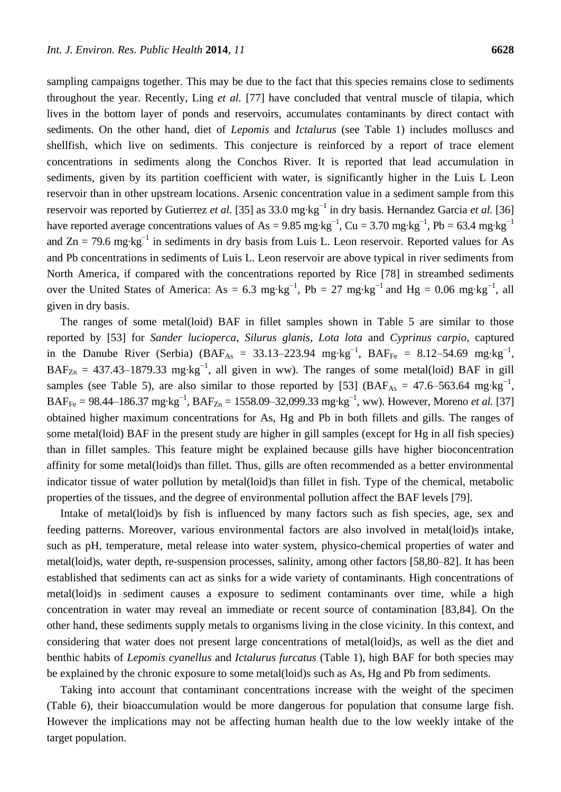sampling campaigns together. This may be due to the fact that this species remains close to sediments throughout the year. Recently, Ling *et al.* [77] have concluded that ventral muscle of tilapia, which lives in the bottom layer of ponds and reservoirs, accumulates contaminants by direct contact with sediments. On the other hand, diet of *Lepomis* and *Ictalurus* (see Table 1) includes molluscs and shellfish, which live on sediments. This conjecture is reinforced by a report of trace element concentrations in sediments along the Conchos River. It is reported that lead accumulation in sediments, given by its partition coefficient with water, is significantly higher in the Luis L Leon reservoir than in other upstream locations. Arsenic concentration value in a sediment sample from this reservoir was reported by Gutierrez *et al.* [35] as 33.0 mg∙kg−1 in dry basis. Hernandez Garcia *et al.* [36] have reported average concentrations values of As = 9.85 mg⋅kg<sup>-1</sup>, Cu = 3.70 mg⋅kg<sup>-1</sup>, Pb = 63.4 mg⋅kg<sup>-1</sup> and Zn = 79.6 mg⋅kg<sup>-1</sup> in sediments in dry basis from Luis L. Leon reservoir. Reported values for As and Pb concentrations in sediments of Luis L. Leon reservoir are above typical in river sediments from North America, if compared with the concentrations reported by Rice [78] in streambed sediments over the United States of America:  $As = 6.3$  mg⋅kg<sup>-1</sup>, Pb = 27 mg⋅kg<sup>-1</sup> and Hg = 0.06 mg⋅kg<sup>-1</sup>, all given in dry basis.

The ranges of some metal(loid) BAF in fillet samples shown in Table 5 are similar to those reported by [53] for *Sander lucioperca*, *Silurus glanis*, *Lota lota* and *Cyprinus carpio*, captured in the Danube River (Serbia) (BAF<sub>As</sub> = 33.13–223.94 mg⋅kg<sup>-1</sup>, BAF<sub>Fe</sub> = 8.12–54.69 mg⋅kg<sup>-1</sup>, BAF<sub>Zn</sub> = 437.43–1879.33 mg⋅kg<sup>-1</sup>, all given in ww). The ranges of some metal(loid) BAF in gill samples (see Table 5), are also similar to those reported by [53] (BAF<sub>As</sub> = 47.6–563.64 mg⋅kg<sup>-1</sup>,  $BAF_{Fe} = 98.44-186.37 \text{ mg} \cdot \text{kg}^{-1}$ ,  $BAF_{Zn} = 1558.09-32,099.33 \text{ mg} \cdot \text{kg}^{-1}$ , ww). However, Moreno *et al.* [37] obtained higher maximum concentrations for As, Hg and Pb in both fillets and gills. The ranges of some metal(loid) BAF in the present study are higher in gill samples (except for Hg in all fish species) than in fillet samples. This feature might be explained because gills have higher bioconcentration affinity for some metal(loid)s than fillet. Thus, gills are often recommended as a better environmental indicator tissue of water pollution by metal(loid)s than fillet in fish. Type of the chemical, metabolic properties of the tissues, and the degree of environmental pollution affect the BAF levels [79].

Intake of metal(loid)s by fish is influenced by many factors such as fish species, age, sex and feeding patterns. Moreover, various environmental factors are also involved in metal(loid)s intake, such as pH, temperature, metal release into water system, physico-chemical properties of water and metal(loid)s, water depth, re-suspension processes, salinity, among other factors [58,80–82]. It has been established that sediments can act as sinks for a wide variety of contaminants. High concentrations of metal(loid)s in sediment causes a exposure to sediment contaminants over time, while a high concentration in water may reveal an immediate or recent source of contamination [83,84]. On the other hand, these sediments supply metals to organisms living in the close vicinity. In this context, and considering that water does not present large concentrations of metal(loid)s, as well as the diet and benthic habits of *Lepomis cyanellus* and *Ictalurus furcatus* (Table 1), high BAF for both species may be explained by the chronic exposure to some metal(loid)s such as As, Hg and Pb from sediments.

Taking into account that contaminant concentrations increase with the weight of the specimen (Table 6), their bioaccumulation would be more dangerous for population that consume large fish. However the implications may not be affecting human health due to the low weekly intake of the target population.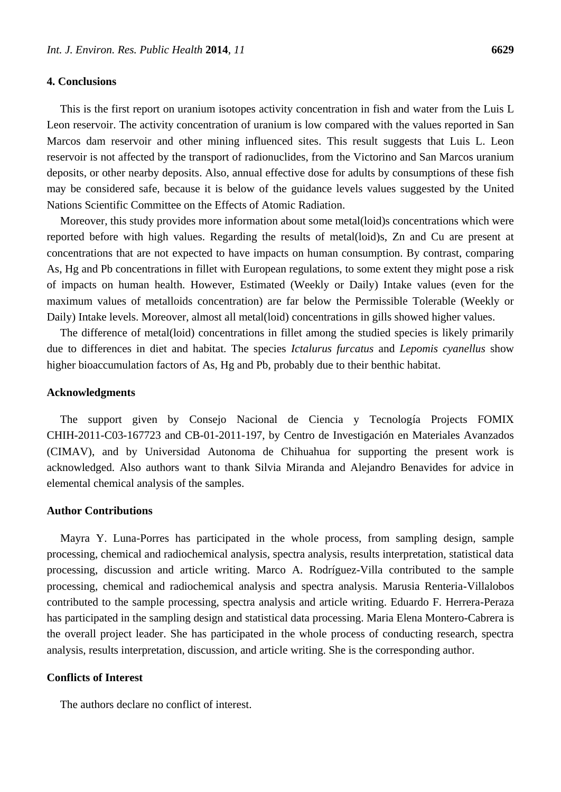This is the first report on uranium isotopes activity concentration in fish and water from the Luis L Leon reservoir. The activity concentration of uranium is low compared with the values reported in San Marcos dam reservoir and other mining influenced sites. This result suggests that Luis L. Leon reservoir is not affected by the transport of radionuclides, from the Victorino and San Marcos uranium deposits, or other nearby deposits. Also, annual effective dose for adults by consumptions of these fish may be considered safe, because it is below of the guidance levels values suggested by the United Nations Scientific Committee on the Effects of Atomic Radiation.

Moreover, this study provides more information about some metal(loid)s concentrations which were reported before with high values. Regarding the results of metal(loid)s, Zn and Cu are present at concentrations that are not expected to have impacts on human consumption. By contrast, comparing As, Hg and Pb concentrations in fillet with European regulations, to some extent they might pose a risk of impacts on human health. However, Estimated (Weekly or Daily) Intake values (even for the maximum values of metalloids concentration) are far below the Permissible Tolerable (Weekly or Daily) Intake levels. Moreover, almost all metal(loid) concentrations in gills showed higher values.

The difference of metal(loid) concentrations in fillet among the studied species is likely primarily due to differences in diet and habitat. The species *Ictalurus furcatus* and *Lepomis cyanellus* show higher bioaccumulation factors of As, Hg and Pb, probably due to their benthic habitat.

#### **Acknowledgments**

The support given by Consejo Nacional de Ciencia y Tecnología Projects FOMIX CHIH-2011-C03-167723 and CB-01-2011-197, by Centro de Investigación en Materiales Avanzados (CIMAV), and by Universidad Autonoma de Chihuahua for supporting the present work is acknowledged. Also authors want to thank Silvia Miranda and Alejandro Benavides for advice in elemental chemical analysis of the samples.

# **Author Contributions**

Mayra Y. Luna-Porres has participated in the whole process, from sampling design, sample processing, chemical and radiochemical analysis, spectra analysis, results interpretation, statistical data processing, discussion and article writing. Marco A. Rodr guez-Villa contributed to the sample processing, chemical and radiochemical analysis and spectra analysis. Marusia Renteria-Villalobos contributed to the sample processing, spectra analysis and article writing. Eduardo F. Herrera-Peraza has participated in the sampling design and statistical data processing. Maria Elena Montero-Cabrera is the overall project leader. She has participated in the whole process of conducting research, spectra analysis, results interpretation, discussion, and article writing. She is the corresponding author.

# **Conflicts of Interest**

The authors declare no conflict of interest.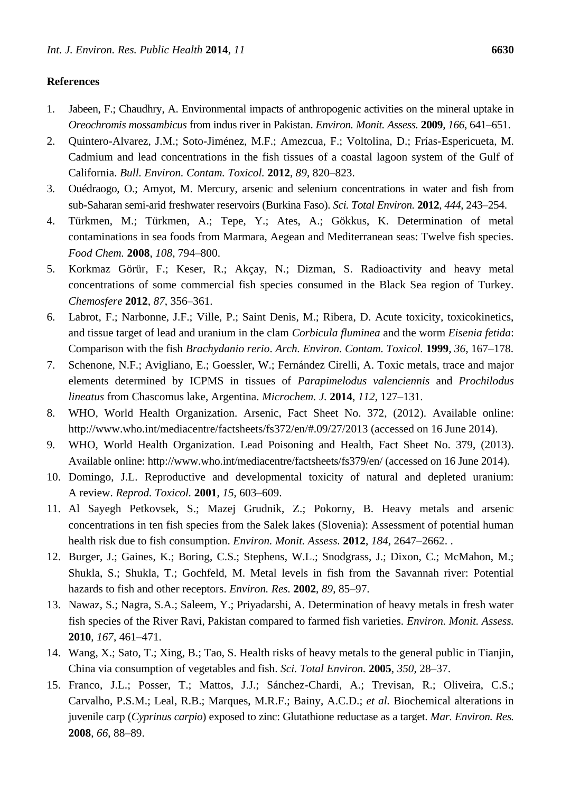# **References**

- 1. Jabeen, F.; Chaudhry, A. Environmental impacts of anthropogenic activities on the mineral uptake in *Oreochromis mossambicus* from indus river in Pakistan. *Environ. Monit. Assess.* **2009**, *166*, 641–651.
- 2. Quintero-Alvarez, J.M.; Soto-Jiménez, M.F.; Amezcua, F.; Voltolina, D.; Frías-Espericueta, M. Cadmium and lead concentrations in the fish tissues of a coastal lagoon system of the Gulf of California. *Bull. Environ. Contam. Toxicol.* **2012**, *89*, 820–823.
- 3. Ouédraogo, O.; Amyot, M. Mercury, arsenic and selenium concentrations in water and fish from sub-Saharan semi-arid freshwater reservoirs (Burkina Faso). *Sci. Total Environ.* **2012**, *444*, 243–254.
- 4. Türkmen, M.; Türkmen, A.; Tepe, Y.; Ates, A.; Gökkus, K. Determination of metal contaminations in sea foods from Marmara, Aegean and Mediterranean seas: Twelve fish species. *Food Chem.* **2008**, *108*, 794–800.
- 5. Korkmaz Görür, F.; Keser, R.; Akçay, N.; Dizman, S. Radioactivity and heavy metal concentrations of some commercial fish species consumed in the Black Sea region of Turkey. *Chemosfere* **2012**, *87*, 356–361.
- 6. Labrot, F.; Narbonne, J.F.; Ville, P.; Saint Denis, M.; Ribera, D. Acute toxicity, toxicokinetics, and tissue target of lead and uranium in the clam *Corbicula fluminea* and the worm *Eisenia fetida*: Comparison with the fish *Brachydanio rerio*. *Arch. Environ. Contam. Toxicol.* **1999**, *36*, 167–178.
- 7. Schenone, N.F.; Avigliano, E.; Goessler, W.; Fernández Cirelli, A. Toxic metals, trace and major elements determined by ICPMS in tissues of *Parapimelodus valenciennis* and *Prochilodus lineatus* from Chascomus lake, Argentina. *Microchem. J.* **2014**, *112*, 127–131.
- 8. WHO, World Health Organization. Arsenic, Fact Sheet No. 372, (2012). Available online: http://www.who.int/mediacentre/factsheets/fs372/en/#.09/27/2013 (accessed on 16 June 2014).
- 9. WHO, World Health Organization. Lead Poisoning and Health, Fact Sheet No. 379, (2013). Available online: http://www.who.int/mediacentre/factsheets/fs379/en/ (accessed on 16 June 2014).
- 10. Domingo, J.L. Reproductive and developmental toxicity of natural and depleted uranium: A review. *Reprod. Toxicol.* **2001**, *15*, 603–609.
- 11. Al Sayegh Petkovsek, S.; Mazej Grudnik, Z.; Pokorny, B. Heavy metals and arsenic concentrations in ten fish species from the Salek lakes (Slovenia): Assessment of potential human health risk due to fish consumption. *Environ. Monit. Assess.* **2012**, *184*, 2647–2662. .
- 12. Burger, J.; Gaines, K.; Boring, C.S.; Stephens, W.L.; Snodgrass, J.; Dixon, C.; McMahon, M.; Shukla, S.; Shukla, T.; Gochfeld, M. Metal levels in fish from the Savannah river: Potential hazards to fish and other receptors. *Environ. Res.* **2002**, *89*, 85–97.
- 13. Nawaz, S.; Nagra, S.A.; Saleem, Y.; Priyadarshi, A. Determination of heavy metals in fresh water fish species of the River Ravi, Pakistan compared to farmed fish varieties. *Environ. Monit. Assess.* **2010**, *167*, 461–471.
- 14. Wang, X.; Sato, T.; Xing, B.; Tao, S. Health risks of heavy metals to the general public in Tianjin, China via consumption of vegetables and fish. *Sci. Total Environ.* **2005**, *350*, 28–37.
- 15. Franco, J.L.; Posser, T.; Mattos, J.J.; Sánchez-Chardi, A.; Trevisan, R.; Oliveira, C.S.; Carvalho, P.S.M.; Leal, R.B.; Marques, M.R.F.; Bainy, A.C.D.; *et al.* Biochemical alterations in juvenile carp (*Cyprinus carpio*) exposed to zinc: Glutathione reductase as a target. *Mar. Environ. Res.* **2008**, *66*, 88–89.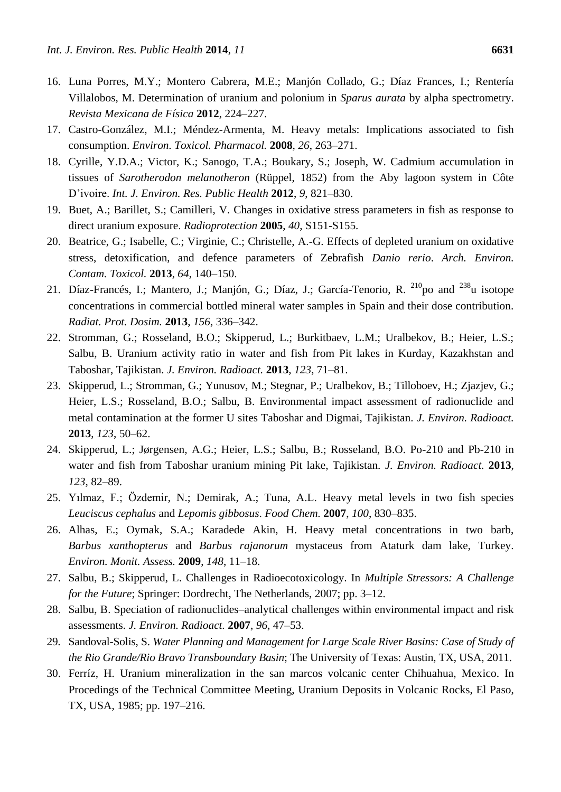- 16. Luna Porres, M.Y.; Montero Cabrera, M.E.; Manjón Collado, G.; Díaz Frances, I.; Rentería Villalobos, M. Determination of uranium and polonium in *Sparus aurata* by alpha spectrometry. *Revista Mexicana de Física* **2012**, 224–227.
- 17. Castro-González, M.I.; Méndez-Armenta, M. Heavy metals: Implications associated to fish consumption. *Environ. Toxicol. Pharmacol.* **2008**, *26*, 263–271.
- 18. Cyrille, Y.D.A.; Victor, K.; Sanogo, T.A.; Boukary, S.; Joseph, W. Cadmium accumulation in tissues of *Sarotherodon melanotheron* (Rüppel, 1852) from the Aby lagoon system in Côte D'ivoire. *Int. J. Environ. Res. Public Health* **2012**, *9*, 821–830.
- 19. Buet, A.; Barillet, S.; Camilleri, V. Changes in oxidative stress parameters in fish as response to direct uranium exposure. *Radioprotection* **2005**, *40*, S151-S155.
- 20. Beatrice, G.; Isabelle, C.; Virginie, C.; Christelle, A.-G. Effects of depleted uranium on oxidative stress, detoxification, and defence parameters of Zebrafish *Danio rerio*. *Arch. Environ. Contam. Toxicol.* **2013**, *64*, 140–150.
- 21. D  $\acute{\text{n}}$ z-Franc $\acute{\text{e}}$ , I.; Mantero, J.; Manjón, G.; D  $\acute{\text{n}}$ z, J.; Garc  $\acute{\text{n}}$ -Tenorio, R.  $^{210}$ po and  $^{238}$ u isotope concentrations in commercial bottled mineral water samples in Spain and their dose contribution. *Radiat. Prot. Dosim.* **2013**, *156*, 336–342.
- 22. Stromman, G.; Rosseland, B.O.; Skipperud, L.; Burkitbaev, L.M.; Uralbekov, B.; Heier, L.S.; Salbu, B. Uranium activity ratio in water and fish from Pit lakes in Kurday, Kazakhstan and Taboshar, Tajikistan. *J. Environ. Radioact.* **2013**, *123*, 71–81.
- 23. Skipperud, L.; Stromman, G.; Yunusov, M.; Stegnar, P.; Uralbekov, B.; Tilloboev, H.; Zjazjev, G.; Heier, L.S.; Rosseland, B.O.; Salbu, B. Environmental impact assessment of radionuclide and metal contamination at the former U sites Taboshar and Digmai, Tajikistan. *J. Environ. Radioact.* **2013**, *123*, 50–62.
- 24. Skipperud, L.; Jørgensen, A.G.; Heier, L.S.; Salbu, B.; Rosseland, B.O. Po-210 and Pb-210 in water and fish from Taboshar uranium mining Pit lake, Tajikistan. *J. Environ. Radioact.* **2013**, *123*, 82–89.
- 25. Yılmaz, F.; Özdemir, N.; Demirak, A.; Tuna, A.L. Heavy metal levels in two fish species *Leuciscus cephalus* and *Lepomis gibbosus*. *Food Chem.* **2007**, *100*, 830–835.
- 26. Alhas, E.; Oymak, S.A.; Karadede Akin, H. Heavy metal concentrations in two barb, *Barbus xanthopterus* and *Barbus rajanorum* mystaceus from Ataturk dam lake, Turkey. *Environ. Monit. Assess.* **2009**, *148*, 11–18.
- 27. Salbu, B.; Skipperud, L. Challenges in Radioecotoxicology. In *Multiple Stressors: A Challenge for the Future*; Springer: Dordrecht, The Netherlands, 2007; pp. 3–12.
- 28. Salbu, B. Speciation of radionuclides–analytical challenges within environmental impact and risk assessments. *J. Environ. Radioact.* **2007**, *96*, 47–53.
- 29. Sandoval-Solis, S. *Water Planning and Management for Large Scale River Basins: Case of Study of the Rio Grande/Rio Bravo Transboundary Basin*; The University of Texas: Austin, TX, USA, 2011.
- 30. Ferríz, H. Uranium mineralization in the san marcos volcanic center Chihuahua, Mexico. In Procedings of the Technical Committee Meeting, Uranium Deposits in Volcanic Rocks, El Paso, TX, USA, 1985; pp. 197–216.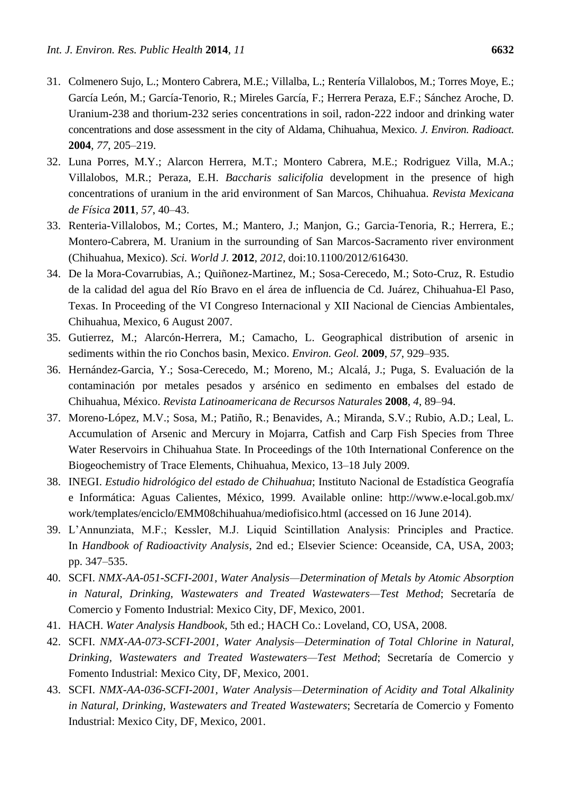- 31. Colmenero Sujo, L.; Montero Cabrera, M.E.; Villalba, L.; Rentería Villalobos, M.; Torres Moye, E.; Garc á León, M.; Garc á-Tenorio, R.; Mireles Garc á, F.; Herrera Peraza, E.F.; Sánchez Aroche, D. Uranium-238 and thorium-232 series concentrations in soil, radon-222 indoor and drinking water concentrations and dose assessment in the city of Aldama, Chihuahua, Mexico. *J. Environ. Radioact.* **2004**, *77*, 205–219.
- 32. Luna Porres, M.Y.; Alarcon Herrera, M.T.; Montero Cabrera, M.E.; Rodriguez Villa, M.A.; Villalobos, M.R.; Peraza, E.H. *Baccharis salicifolia* development in the presence of high concentrations of uranium in the arid environment of San Marcos, Chihuahua. *Revista Mexicana de Física* **2011**, *57*, 40–43.
- 33. Renteria-Villalobos, M.; Cortes, M.; Mantero, J.; Manjon, G.; Garcia-Tenoria, R.; Herrera, E.; Montero-Cabrera, M. Uranium in the surrounding of San Marcos-Sacramento river environment (Chihuahua, Mexico). *Sci. World J.* **2012**, *2012*, doi:10.1100/2012/616430.
- 34. De la Mora-Covarrubias, A.; Quiñonez-Martinez, M.; Sosa-Cerecedo, M.; Soto-Cruz, R. Estudio de la calidad del agua del Río Bravo en el área de influencia de Cd. Juárez, Chihuahua-El Paso, Texas. In Proceeding of the VI Congreso Internacional y XII Nacional de Ciencias Ambientales, Chihuahua, Mexico, 6 August 2007.
- 35. Gutierrez, M.; Alarcón-Herrera, M.; Camacho, L. Geographical distribution of arsenic in sediments within the rio Conchos basin, Mexico. *Environ. Geol.* **2009**, *57*, 929–935.
- 36. Hernández-Garcia, Y.; Sosa-Cerecedo, M.; Moreno, M.; Alcalá, J.; Puga, S. Evaluación de la contaminación por metales pesados y arsénico en sedimento en embalses del estado de Chihuahua, México. *Revista Latinoamericana de Recursos Naturales* **2008**, *4*, 89–94.
- 37. Moreno-López, M.V.; Sosa, M.; Patiño, R.; Benavides, A.; Miranda, S.V.; Rubio, A.D.; Leal, L. Accumulation of Arsenic and Mercury in Mojarra, Catfish and Carp Fish Species from Three Water Reservoirs in Chihuahua State. In Proceedings of the 10th International Conference on the Biogeochemistry of Trace Elements, Chihuahua, Mexico, 13–18 July 2009.
- 38. INEGI. *Estudio hidrológico del estado de Chihuahua*; Instituto Nacional de Estad ática Geografía e Informática: Aguas Calientes, México, 1999. Available online: http://www.e-local.gob.mx/ work/templates/enciclo/EMM08chihuahua/mediofisico.html (accessed on 16 June 2014).
- 39. L'Annunziata, M.F.; Kessler, M.J. Liquid Scintillation Analysis: Principles and Practice. In *Handbook of Radioactivity Analysis*, 2nd ed.; Elsevier Science: Oceanside, CA, USA, 2003; pp. 347–535.
- 40. SCFI. *NMX-AA-051-SCFI-2001, Water Analysis—Determination of Metals by Atomic Absorption in Natural, Drinking, Wastewaters and Treated Wastewaters—Test Method; Secretar a de* Comercio y Fomento Industrial: Mexico City, DF, Mexico, 2001.
- 41. HACH. *Water Analysis Handbook*, 5th ed.; HACH Co.: Loveland, CO, USA, 2008.
- 42. SCFI. *NMX-AA-073-SCFI-2001, Water Analysis—Determination of Total Chlorine in Natural, Drinking, Wastewaters and Treated Wastewaters—Test Method*; Secretaría de Comercio y Fomento Industrial: Mexico City, DF, Mexico, 2001.
- 43. SCFI. *NMX-AA-036-SCFI-2001, Water Analysis—Determination of Acidity and Total Alkalinity*  in Natural, Drinking, Wastewaters and Treated Wastewaters; Secretar *a* de Comercio y Fomento Industrial: Mexico City, DF, Mexico, 2001.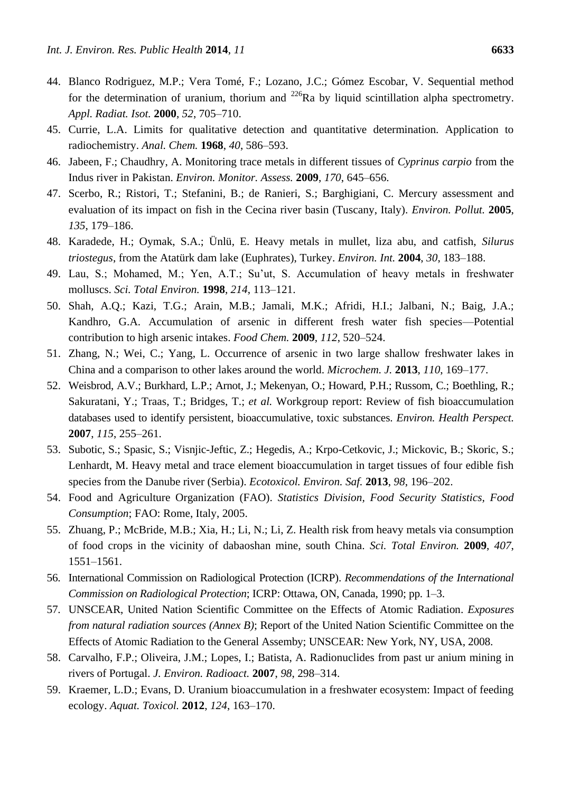- 44. Blanco Rodriguez, M.P.; Vera Tomé, F.; Lozano, J.C.; Gómez Escobar, V. Sequential method for the determination of uranium, thorium and  $^{226}$ Ra by liquid scintillation alpha spectrometry. *Appl. Radiat. Isot.* **2000**, *52*, 705–710.
- 45. Currie, L.A. Limits for qualitative detection and quantitative determination. Application to radiochemistry. *Anal. Chem.* **1968**, *40*, 586–593.
- 46. Jabeen, F.; Chaudhry, A. Monitoring trace metals in different tissues of *Cyprinus carpio* from the Indus river in Pakistan. *Environ. Monitor. Assess.* **2009**, *170*, 645–656.
- 47. Scerbo, R.; Ristori, T.; Stefanini, B.; de Ranieri, S.; Barghigiani, C. Mercury assessment and evaluation of its impact on fish in the Cecina river basin (Tuscany, Italy). *Environ. Pollut.* **2005**, *135*, 179–186.
- 48. Karadede, H.; Oymak, S.A.; Ünlü, E. Heavy metals in mullet, liza abu, and catfish, *Silurus triostegus*, from the Atatürk dam lake (Euphrates), Turkey. *Environ. Int.* **2004**, *30*, 183–188.
- 49. Lau, S.; Mohamed, M.; Yen, A.T.; Su'ut, S. Accumulation of heavy metals in freshwater molluscs. *Sci. Total Environ.* **1998**, *214*, 113–121.
- 50. Shah, A.Q.; Kazi, T.G.; Arain, M.B.; Jamali, M.K.; Afridi, H.I.; Jalbani, N.; Baig, J.A.; Kandhro, G.A. Accumulation of arsenic in different fresh water fish species—Potential contribution to high arsenic intakes. *Food Chem.* **2009**, *112*, 520–524.
- 51. Zhang, N.; Wei, C.; Yang, L. Occurrence of arsenic in two large shallow freshwater lakes in China and a comparison to other lakes around the world. *Microchem. J.* **2013**, *110*, 169–177.
- 52. Weisbrod, A.V.; Burkhard, L.P.; Arnot, J.; Mekenyan, O.; Howard, P.H.; Russom, C.; Boethling, R.; Sakuratani, Y.; Traas, T.; Bridges, T.; *et al.* Workgroup report: Review of fish bioaccumulation databases used to identify persistent, bioaccumulative, toxic substances. *Environ. Health Perspect.* **2007**, *115*, 255–261.
- 53. Subotic, S.; Spasic, S.; Visnjic-Jeftic, Z.; Hegedis, A.; Krpo-Cetkovic, J.; Mickovic, B.; Skoric, S.; Lenhardt, M. Heavy metal and trace element bioaccumulation in target tissues of four edible fish species from the Danube river (Serbia). *Ecotoxicol. Environ. Saf.* **2013**, *98*, 196–202.
- 54. Food and Agriculture Organization (FAO). *Statistics Division, Food Security Statistics, Food Consumption*; FAO: Rome, Italy, 2005.
- 55. Zhuang, P.; McBride, M.B.; Xia, H.; Li, N.; Li, Z. Health risk from heavy metals via consumption of food crops in the vicinity of dabaoshan mine, south China. *Sci. Total Environ.* **2009**, *407*, 1551–1561.
- 56. International Commission on Radiological Protection (ICRP). *Recommendations of the International Commission on Radiological Protection*; ICRP: Ottawa, ON, Canada, 1990; pp. 1–3.
- 57. UNSCEAR, United Nation Scientific Committee on the Effects of Atomic Radiation. *Exposures from natural radiation sources (Annex B)*; Report of the United Nation Scientific Committee on the Effects of Atomic Radiation to the General Assemby; UNSCEAR: New York, NY, USA, 2008.
- 58. Carvalho, F.P.; Oliveira, J.M.; Lopes, I.; Batista, A. Radionuclides from past ur anium mining in rivers of Portugal. *J. Environ. Radioact.* **2007**, *98*, 298–314.
- 59. Kraemer, L.D.; Evans, D. Uranium bioaccumulation in a freshwater ecosystem: Impact of feeding ecology. *Aquat. Toxicol.* **2012**, *124*, 163–170.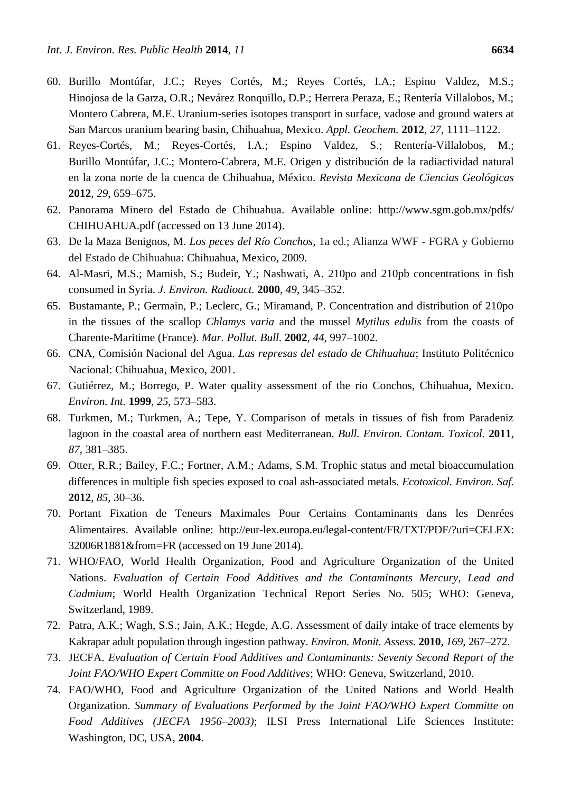- 60. Burillo Montúfar, J.C.; Reyes Cortés, M.; Reyes Cortés, I.A.; Espino Valdez, M.S.; Hinojosa de la Garza, O.R.; Nevárez Ronquillo, D.P.; Herrera Peraza, E.; Renter á Villalobos, M.; Montero Cabrera, M.E. Uranium-series isotopes transport in surface, vadose and ground waters at San Marcos uranium bearing basin, Chihuahua, Mexico. *Appl. Geochem.* **2012**, *27*, 1111–1122.
- 61. Reyes-Cortés, M.; Reyes-Cortés, I.A.; Espino Valdez, S.; Rentería-Villalobos, M.; Burillo Montúfar, J.C.; Montero-Cabrera, M.E. Origen y distribución de la radiactividad natural en la zona norte de la cuenca de Chihuahua, México. *Revista Mexicana de Ciencias Geológicas*  **2012**, *29*, 659–675.
- 62. Panorama Minero del Estado de Chihuahua. Available online: http://www.sgm.gob.mx/pdfs/ CHIHUAHUA.pdf (accessed on 13 June 2014).
- 63. De la Maza Benignos, M. *Los peces del Río Conchos*, 1a ed.; Alianza WWF FGRA y Gobierno del Estado de Chihuahua: Chihuahua, Mexico, 2009.
- 64. Al-Masri, M.S.; Mamish, S.; Budeir, Y.; Nashwati, A. 210po and 210pb concentrations in fish consumed in Syria. *J. Environ. Radioact.* **2000**, *49*, 345–352.
- 65. Bustamante, P.; Germain, P.; Leclerc, G.; Miramand, P. Concentration and distribution of 210po in the tissues of the scallop *Chlamys varia* and the mussel *Mytilus edulis* from the coasts of Charente-Maritime (France). *Mar. Pollut. Bull.* **2002**, *44*, 997–1002.
- 66. CNA, Comisión Nacional del Agua. *Las represas del estado de Chihuahua*; Instituto Politécnico Nacional: Chihuahua, Mexico, 2001.
- 67. Gutiérrez, M.; Borrego, P. Water quality assessment of the rio Conchos, Chihuahua, Mexico. *Environ. Int.* **1999**, *25*, 573–583.
- 68. Turkmen, M.; Turkmen, A.; Tepe, Y. Comparison of metals in tissues of fish from Paradeniz lagoon in the coastal area of northern east Mediterranean. *Bull. Environ. Contam. Toxicol.* **2011**, *87*, 381–385.
- 69. Otter, R.R.; Bailey, F.C.; Fortner, A.M.; Adams, S.M. Trophic status and metal bioaccumulation differences in multiple fish species exposed to coal ash-associated metals. *Ecotoxicol. Environ. Saf.* **2012**, *85*, 30–36.
- 70. Portant Fixation de Teneurs Maximales Pour Certains Contaminants dans les Denrées Alimentaires. Available online: http://eur-lex.europa.eu/legal-content/FR/TXT/PDF/?uri=CELEX: 32006R1881&from=FR (accessed on 19 June 2014).
- 71. WHO/FAO, World Health Organization, Food and Agriculture Organization of the United Nations. *Evaluation of Certain Food Additives and the Contaminants Mercury, Lead and Cadmium*; World Health Organization Technical Report Series No. 505; WHO: Geneva, Switzerland, 1989.
- 72. Patra, A.K.; Wagh, S.S.; Jain, A.K.; Hegde, A.G. Assessment of daily intake of trace elements by Kakrapar adult population through ingestion pathway. *Environ. Monit. Assess.* **2010**, *169*, 267–272.
- 73. JECFA. *Evaluation of Certain Food Additives and Contaminants: Seventy Second Report of the Joint FAO/WHO Expert Committe on Food Additives*; WHO: Geneva, Switzerland, 2010.
- 74. FAO/WHO, Food and Agriculture Organization of the United Nations and World Health Organization. *Summary of Evaluations Performed by the Joint FAO/WHO Expert Committe on Food Additives (JECFA 1956–2003)*; ILSI Press International Life Sciences Institute: Washington, DC, USA, **2004**.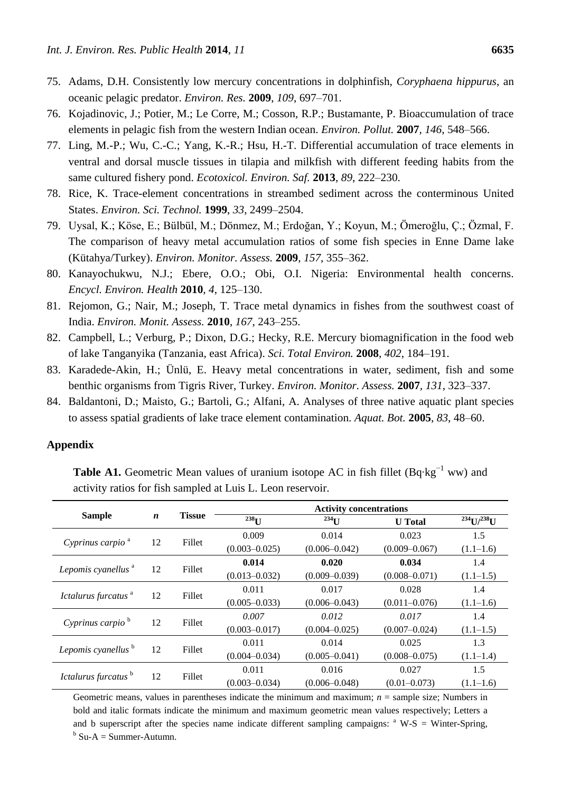- 75. Adams, D.H. Consistently low mercury concentrations in dolphinfish, *Coryphaena hippurus*, an oceanic pelagic predator. *Environ. Res.* **2009**, *109*, 697–701.
- 76. Kojadinovic, J.; Potier, M.; Le Corre, M.; Cosson, R.P.; Bustamante, P. Bioaccumulation of trace elements in pelagic fish from the western Indian ocean. *Environ. Pollut.* **2007**, *146*, 548–566.
- 77. Ling, M.-P.; Wu, C.-C.; Yang, K.-R.; Hsu, H.-T. Differential accumulation of trace elements in ventral and dorsal muscle tissues in tilapia and milkfish with different feeding habits from the same cultured fishery pond. *Ecotoxicol. Environ. Saf.* **2013**, *89*, 222–230.
- 78. Rice, K. Trace-element concentrations in streambed sediment across the conterminous United States. *Environ. Sci. Technol.* **1999**, *33*, 2499–2504.
- 79. Uysal, K.; Köse, E.; Bülbül, M.; Dönmez, M.; Erdoğan, Y.; Koyun, M.; Ömeroğlu, Ç.; Özmal, F. The comparison of heavy metal accumulation ratios of some fish species in Enne Dame lake (Kütahya/Turkey). *Environ. Monitor. Assess.* **2009**, *157*, 355–362.
- 80. Kanayochukwu, N.J.; Ebere, O.O.; Obi, O.I. Nigeria: Environmental health concerns. *Encycl. Environ. Health* **2010**, *4*, 125–130.
- 81. Rejomon, G.; Nair, M.; Joseph, T. Trace metal dynamics in fishes from the southwest coast of India. *Environ. Monit. Assess.* **2010**, *167*, 243–255.
- 82. Campbell, L.; Verburg, P.; Dixon, D.G.; Hecky, R.E. Mercury biomagnification in the food web of lake Tanganyika (Tanzania, east Africa). *Sci. Total Environ.* **2008**, *402*, 184–191.
- 83. Karadede-Akin, H.; Ünlü, E. Heavy metal concentrations in water, sediment, fish and some benthic organisms from Tigris River, Turkey. *Environ. Monitor. Assess.* **2007**, *131*, 323–337.
- 84. Baldantoni, D.; Maisto, G.; Bartoli, G.; Alfani, A. Analyses of three native aquatic plant species to assess spatial gradients of lake trace element contamination. *Aquat. Bot.* **2005**, *83*, 48–60.

# **Appendix**

**Table A1.** Geometric Mean values of uranium isotope AC in fish fillet (Bq⋅kg<sup>-1</sup> ww) and activity ratios for fish sampled at Luis L. Leon reservoir.

|                                 |                  |               | <b>Activity concentrations</b> |                   |                   |                        |  |  |
|---------------------------------|------------------|---------------|--------------------------------|-------------------|-------------------|------------------------|--|--|
| <b>Sample</b>                   | $\boldsymbol{n}$ | <b>Tissue</b> | $^{238}$ U                     | $^{234}$ U        | <b>U</b> Total    | $^{234}$ U/ $^{238}$ U |  |  |
|                                 |                  |               | 0.009                          | 0.014             | 0.023             | 1.5                    |  |  |
| Cyprinus carpio <sup>a</sup>    | 12               | Fillet        | $(0.003 - 0.025)$              | $(0.006 - 0.042)$ | $(0.009 - 0.067)$ | $(1.1-1.6)$            |  |  |
|                                 |                  |               | 0.014                          | 0.020             | 0.034             | 1.4                    |  |  |
| Lepomis cyanellus <sup>a</sup>  | 12               | Fillet        | $(0.013 - 0.032)$              | $(0.009 - 0.039)$ | $(0.008 - 0.071)$ | $(1.1-1.5)$            |  |  |
|                                 | 12               |               | 0.011                          | 0.017             | 0.028             | 1.4                    |  |  |
| Ictalurus furcatus <sup>a</sup> |                  | Fillet        | $(0.005 - 0.033)$              | $(0.006 - 0.043)$ | $(0.011 - 0.076)$ | $(1.1-1.6)$            |  |  |
|                                 |                  |               | 0.007                          | 0.012             | 0.017             | 1.4                    |  |  |
| Cyprinus carpio $b$             | 12               | Fillet        | $(0.003 - 0.017)$              | $(0.004 - 0.025)$ | $(0.007 - 0.024)$ | $(1.1-1.5)$            |  |  |
|                                 |                  |               | 0.011                          | 0.014             | 0.025             | 1.3                    |  |  |
| Lepomis cyanellus <sup>b</sup>  | 12               | Fillet        | $(0.004 - 0.034)$              | $(0.005 - 0.041)$ | $(0.008 - 0.075)$ | $(1.1-1.4)$            |  |  |
|                                 |                  |               | 0.011                          | 0.016             | 0.027             | 1.5                    |  |  |
| Ictalurus furcatus <sup>b</sup> | 12               | Fillet        | $(0.003 - 0.034)$              | $(0.006 - 0.048)$ | $(0.01 - 0.073)$  | $(1.1-1.6)$            |  |  |

Geometric means, values in parentheses indicate the minimum and maximum; *n* = sample size; Numbers in bold and italic formats indicate the minimum and maximum geometric mean values respectively; Letters a and b superscript after the species name indicate different sampling campaigns:  $a$  W-S = Winter-Spring,  $b$  Su-A = Summer-Autumn.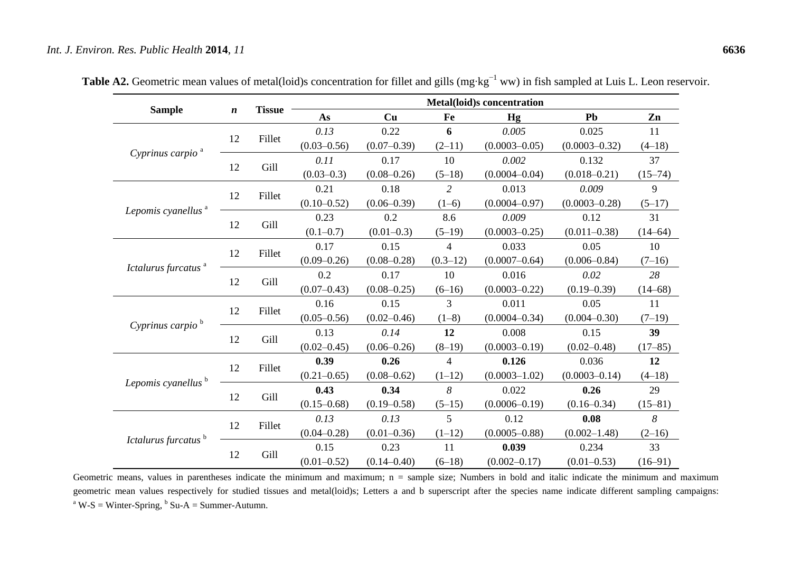|                                 | $\boldsymbol{n}$ |               | <b>Metal(loid)s concentration</b> |                 |                          |                   |                   |             |      |    |
|---------------------------------|------------------|---------------|-----------------------------------|-----------------|--------------------------|-------------------|-------------------|-------------|------|----|
| <b>Sample</b>                   |                  | <b>Tissue</b> | As                                | Cu              | Fe                       | Hg                | Pb                | Zn          |      |    |
|                                 |                  |               | 0.13                              | 0.22            | 6                        | 0.005             | 0.025             | 11          |      |    |
|                                 | 12               | Fillet        | $(0.03 - 0.56)$                   | $(0.07 - 0.39)$ | $(2-11)$                 | $(0.0003 - 0.05)$ | $(0.0003 - 0.32)$ | $(4-18)$    |      |    |
| Cyprinus carpio <sup>a</sup>    | 12               |               | 0.11                              | 0.17            | 10                       | 0.002             | 0.132             | 37          |      |    |
|                                 |                  | Gill          | $(0.03 - 0.3)$                    | $(0.08 - 0.26)$ | $(5-18)$                 | $(0.0004 - 0.04)$ | $(0.018 - 0.21)$  | $(15-74)$   |      |    |
|                                 |                  |               | 0.21                              | 0.18            | $\overline{c}$           | 0.013             | 0.009             | 9           |      |    |
|                                 | 12               | Fillet        | $(0.10 - 0.52)$                   | $(0.06 - 0.39)$ | $(1-6)$                  | $(0.0004 - 0.97)$ | $(0.0003 - 0.28)$ | $(5-17)$    |      |    |
| Lepomis cyanellus <sup>a</sup>  |                  |               | 0.23                              | 0.2             | 8.6                      | 0.009             | 0.12              | 31          |      |    |
|                                 | 12               | Gill          | $(0.1 - 0.7)$                     | $(0.01 - 0.3)$  | $(5-19)$                 | $(0.0003 - 0.25)$ | $(0.011 - 0.38)$  | $(14-64)$   |      |    |
|                                 | 12               |               |                                   | Fillet          | 0.17                     | 0.15              | $\overline{4}$    | 0.033       | 0.05 | 10 |
|                                 |                  |               | $(0.09 - 0.26)$                   | $(0.08 - 0.28)$ | $(0.3-12)$               | $(0.0007 - 0.64)$ | $(0.006 - 0.84)$  | $(7-16)$    |      |    |
| Ictalurus furcatus <sup>a</sup> | 12               |               | 0.2                               | 0.17            | 10                       | 0.016             | 0.02              | 28          |      |    |
|                                 |                  | Gill          | $(0.07 - 0.43)$                   | $(0.08 - 0.25)$ | $(6-16)$                 | $(0.0003 - 0.22)$ | $(0.19 - 0.39)$   | $(14 - 68)$ |      |    |
|                                 | 12               |               | 0.16                              | 0.15            | 3                        | 0.011             | 0.05              | 11          |      |    |
|                                 |                  | Fillet        | $(0.05 - 0.56)$                   | $(0.02 - 0.46)$ | $(1-8)$                  | $(0.0004 - 0.34)$ | $(0.004 - 0.30)$  | $(7-19)$    |      |    |
| Cyprinus carpio <sup>b</sup>    | 12               | Gill          | 0.13                              | 0.14            | 12                       | 0.008             | 0.15              | 39          |      |    |
|                                 |                  |               | $(0.02 - 0.45)$                   | $(0.06 - 0.26)$ | $(8-19)$                 | $(0.0003 - 0.19)$ | $(0.02 - 0.48)$   | $(17 - 85)$ |      |    |
|                                 | 12               | Fillet        | 0.39                              | 0.26            | $\overline{\mathcal{L}}$ | 0.126             | 0.036             | 12          |      |    |
| Lepomis cyanellus <sup>b</sup>  |                  |               | $(0.21 - 0.65)$                   | $(0.08 - 0.62)$ | $(1-12)$                 | $(0.0003 - 1.02)$ | $(0.0003 - 0.14)$ | $(4-18)$    |      |    |
|                                 | 12               | Gill          | 0.43                              | 0.34            | 8                        | 0.022             | 0.26              | 29          |      |    |
|                                 |                  |               | $(0.15 - 0.68)$                   | $(0.19 - 0.58)$ | $(5-15)$                 | $(0.0006 - 0.19)$ | $(0.16 - 0.34)$   | $(15-81)$   |      |    |
|                                 | 12               | Fillet        | 0.13                              | 0.13            | 5                        | 0.12              | 0.08              | 8           |      |    |
| Ictalurus furcatus <sup>b</sup> |                  |               | $(0.04 - 0.28)$                   | $(0.01 - 0.36)$ | $(1-12)$                 | $(0.0005 - 0.88)$ | $(0.002 - 1.48)$  | $(2-16)$    |      |    |
|                                 |                  | Gill          | 0.15                              | 0.23            | 11                       | 0.039             | 0.234             | 33          |      |    |
|                                 | 12               |               | $(0.01 - 0.52)$                   | $(0.14 - 0.40)$ | $(6-18)$                 | $(0.002 - 0.17)$  | $(0.01 - 0.53)$   | $(16-91)$   |      |    |

Table A2. Geometric mean values of metal(loid)s concentration for fillet and gills (mg⋅kg<sup>-1</sup> ww) in fish sampled at Luis L. Leon reservoir.

Geometric means, values in parentheses indicate the minimum and maximum; n = sample size; Numbers in bold and italic indicate the minimum and maximum geometric mean values respectively for studied tissues and metal(loid)s; Letters a and b superscript after the species name indicate different sampling campaigns: <sup>a</sup> W-S = Winter-Spring,  $b$  Su-A = Summer-Autumn.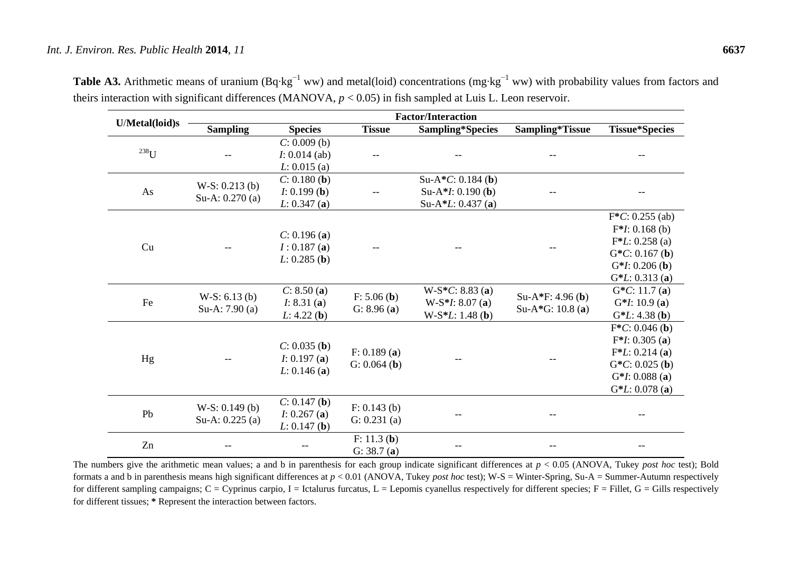# *Int. J. Environ. Res. Public Health* **2014**, *11* **6637**

|                |                                      |                                                                      |                                        | <b>Factor/Interaction</b>                                              |                                                   |                                                                                                                                             |
|----------------|--------------------------------------|----------------------------------------------------------------------|----------------------------------------|------------------------------------------------------------------------|---------------------------------------------------|---------------------------------------------------------------------------------------------------------------------------------------------|
| U/Metal(loid)s | <b>Sampling</b>                      | <b>Species</b>                                                       | <b>Tissue</b>                          | <b>Sampling*Species</b>                                                | <b>Sampling*Tissue</b>                            | <b>Tissue*Species</b>                                                                                                                       |
| $238$ U        |                                      | $C: 0.009$ (b)<br>$I: 0.014$ (ab)<br>$L: 0.015$ (a)                  |                                        |                                                                        |                                                   |                                                                                                                                             |
| As             | $W-S: 0.213(b)$<br>Su-A: $0.270$ (a) | $C: 0.180$ ( <b>b</b> )<br>$I: 0.199$ ( <b>b</b> )<br>$L: 0.347$ (a) |                                        | $Su-A*C: 0.184(b)$<br>$Su-A*I: 0.190(b)$<br>Su-A*L: $0.437(a)$         |                                                   |                                                                                                                                             |
| Cu             |                                      | $C: 0.196$ (a)<br>$I: 0.187$ (a)<br>$L: 0.285$ ( <b>b</b> )          |                                        |                                                                        |                                                   | $F^*C: 0.255$ (ab)<br>$F^*I: 0.168$ (b)<br>$F^*L: 0.258$ (a)<br>$G*C: 0.167$ ( <b>b</b> )<br>$G^*I: 0.206$ ( <b>b</b> )<br>$G^*L: 0.313(a)$ |
| Fe             | $W-S: 6.13(b)$<br>Su-A: $7.90(a)$    | $C: 8.50$ (a)<br>I: 8.31 (a)<br>$L: 4.22$ ( <b>b</b> )               | $F: 5.06$ ( <b>b</b> )<br>G: $8.96(a)$ | $W-S*C: 8.83 (a)$<br>$W-S^*I: 8.07 (a)$<br>$W-S^*L: 1.48$ ( <b>b</b> ) | $Su-A*F: 4.96$ ( <b>b</b> )<br>Su-A*G: $10.8$ (a) | $G*C: 11.7(a)$<br>$G^*I: 10.9$ (a)<br>$G^*L: 4.38$ ( <b>b</b> )                                                                             |
| Hg             |                                      | $C: 0.035$ ( <b>b</b> )<br>$I: 0.197$ (a)<br>L: $0.146$ (a)          | F: 0.189(a)<br>$G: 0.064$ ( <b>b</b> ) |                                                                        |                                                   | $F^*C: 0.046$ ( <b>b</b> )<br>$F^*I: 0.305$ (a)<br>$F^*L: 0.214$ (a)<br>$G*C: 0.025(b)$<br>$G^*I: 0.088(a)$<br>$G^*L: 0.078$ (a)            |
| Pb             | $W-S: 0.149(b)$<br>Su-A: $0.225$ (a) | $C: 0.147$ ( <b>b</b> )<br>$I: 0.267$ (a)<br>$L: 0.147$ ( <b>b</b> ) | F: 0.143(b)<br>$G: 0.231$ (a)          |                                                                        |                                                   |                                                                                                                                             |
| Zn             |                                      |                                                                      | $F: 11.3$ (b)<br>G: $38.7(a)$          |                                                                        |                                                   |                                                                                                                                             |

Table A3. Arithmetic means of uranium (Bq⋅kg<sup>-1</sup> ww) and metal(loid) concentrations (mg⋅kg<sup>-1</sup> ww) with probability values from factors and theirs interaction with significant differences (MANOVA, *p* < 0.05) in fish sampled at Luis L. Leon reservoir.

The numbers give the arithmetic mean values; a and b in parenthesis for each group indicate significant differences at *p* < 0.05 (ANOVA, Tukey *post hoc* test); Bold formats a and b in parenthesis means high significant differences at *p* < 0.01 (ANOVA, Tukey *post hoc* test); W-S = Winter-Spring, Su-A = Summer-Autumn respectively for different sampling campaigns;  $C =$  Cyprinus carpio, I = Ictalurus furcatus, L = Lepomis cyanellus respectively for different species; F = Fillet, G = Gills respectively for different tissues; **\*** Represent the interaction between factors.